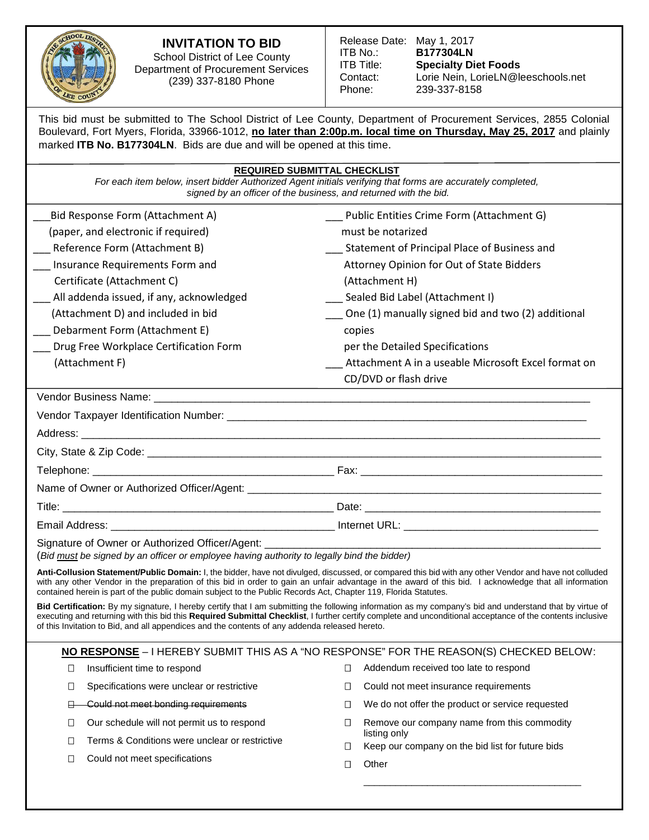

# **INVITATION TO BID**

School District of Lee County Department of Procurement Services (239) 337-8180 Phone

| Release Date: May 1, 2017 |                                    |
|---------------------------|------------------------------------|
| ITB No.:                  | <b>B177304LN</b>                   |
| ITB Title:                | <b>Specialty Diet Foods</b>        |
| Contact:                  | Lorie Nein, LorieLN@leeschools.net |
| Phone:                    | 239-337-8158                       |
|                           |                                    |

This bid must be submitted to The School District of Lee County, Department of Procurement Services, 2855 Colonial Boulevard, Fort Myers, Florida, 33966-1012, **no later than 2:00p.m. local time on Thursday, May 25, 2017** and plainly marked **ITB No. B177304LN**. Bids are due and will be opened at this time.

*For each item below, insert bidder Authorized Agent initials verifying that forms are accurately completed, signed by an officer of the business, and returned with the bid.*

| Bid Response Form (Attachment A)                                                           | Public Entities Crime Form (Attachment G)                                                                                                             |
|--------------------------------------------------------------------------------------------|-------------------------------------------------------------------------------------------------------------------------------------------------------|
| (paper, and electronic if required)                                                        | must be notarized                                                                                                                                     |
| Reference Form (Attachment B)                                                              | Statement of Principal Place of Business and                                                                                                          |
| Insurance Requirements Form and                                                            | Attorney Opinion for Out of State Bidders                                                                                                             |
| Certificate (Attachment C)                                                                 | (Attachment H)                                                                                                                                        |
| All addenda issued, if any, acknowledged                                                   | Sealed Bid Label (Attachment I)                                                                                                                       |
| (Attachment D) and included in bid                                                         | One (1) manually signed bid and two (2) additional                                                                                                    |
| Debarment Form (Attachment E)                                                              | copies                                                                                                                                                |
| Drug Free Workplace Certification Form                                                     | per the Detailed Specifications                                                                                                                       |
| (Attachment F)                                                                             | Attachment A in a useable Microsoft Excel format on                                                                                                   |
|                                                                                            | CD/DVD or flash drive                                                                                                                                 |
|                                                                                            |                                                                                                                                                       |
|                                                                                            |                                                                                                                                                       |
|                                                                                            |                                                                                                                                                       |
|                                                                                            |                                                                                                                                                       |
|                                                                                            |                                                                                                                                                       |
|                                                                                            |                                                                                                                                                       |
|                                                                                            |                                                                                                                                                       |
|                                                                                            |                                                                                                                                                       |
| (Bid must be signed by an officer or employee having authority to legally bind the bidder) |                                                                                                                                                       |
|                                                                                            | Anti-Collusion Statement/Public Domain: I, the bidder, have not divulged, discussed, or compared this bid with any other Vendor and have not colluded |

with any other Vendor in the preparation of this bid in order to gain an unfair advantage in the award of this bid. I acknowledge that all information contained herein is part of the public domain subject to the Public Records Act, Chapter 119, Florida Statutes.

**Bid Certification:** By my signature, I hereby certify that I am submitting the following information as my company's bid and understand that by virtue of executing and returning with this bid this **Required Submittal Checklist**, I further certify complete and unconditional acceptance of the contents inclusive of this Invitation to Bid, and all appendices and the contents of any addenda released hereto.

## **NO RESPONSE** – I HEREBY SUBMIT THIS AS A "NO RESPONSE" FOR THE REASON(S) CHECKED BELOW:

- $\Box$  Insufficient time to respond  $\Box$  Specifications were unclear or restrictive
	- **E** Could not meet bonding requirements
	- □ Our schedule will not permit us to respond
	- $\Box$  Terms & Conditions were unclear or restrictive
	- □ Could not meet specifications
- $\Box$  Addendum received too late to respond
- $\Box$  Could not meet insurance requirements
- $\Box$  We do not offer the product or service requested
- $\Box$  Remove our company name from this commodity listing only

\_\_\_\_\_\_\_\_\_\_\_\_\_\_\_\_\_\_\_\_\_\_\_\_\_\_\_\_\_\_\_\_\_\_\_\_\_\_\_\_\_

- $\Box$  Keep our company on the bid list for future bids
- Other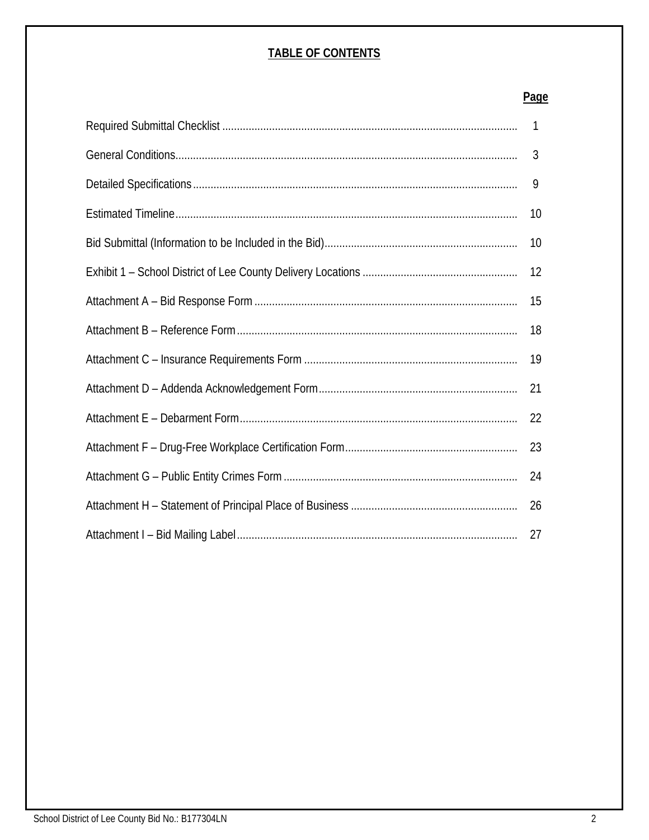## **TABLE OF CONTENTS**

# **Page**

| 1  |
|----|
| 3  |
| 9  |
| 10 |
| 10 |
| 12 |
| 15 |
| 18 |
| 19 |
| 21 |
| 22 |
| 23 |
| 24 |
| 26 |
| 27 |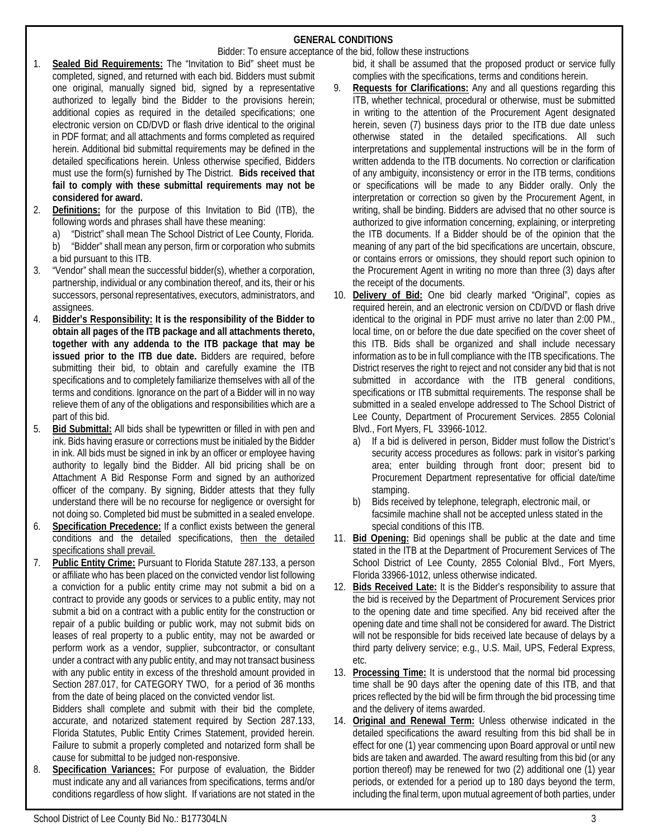## **GENERAL CONDITIONS**

Bidder: To ensure acceptance of the bid, follow these instructions

- 1. **Sealed Bid Requirements:** The "Invitation to Bid" sheet must be completed, signed, and returned with each bid. Bidders must submit one original, manually signed bid, signed by a representative authorized to legally bind the Bidder to the provisions herein; additional copies as required in the detailed specifications; one electronic version on CD/DVD or flash drive identical to the original in PDF format; and all attachments and forms completed as required herein. Additional bid submittal requirements may be defined in the detailed specifications herein. Unless otherwise specified, Bidders must use the form(s) furnished by The District. **Bids received that fail to comply with these submittal requirements may not be considered for award.**
- 2. **Definitions:** for the purpose of this Invitation to Bid (ITB), the following words and phrases shall have these meaning:
	- a) "District" shall mean The School District of Lee County, Florida.
	- b) "Bidder" shall mean any person, firm or corporation who submits a bid pursuant to this ITB.
- 3. "Vendor" shall mean the successful bidder(s), whether a corporation, partnership, individual or any combination thereof, and its, their or his successors, personal representatives, executors, administrators, and assignees.
- 4. **Bidder's Responsibility: It is the responsibility of the Bidder to obtain all pages of the ITB package and all attachments thereto, together with any addenda to the ITB package that may be issued prior to the ITB due date.** Bidders are required, before submitting their bid, to obtain and carefully examine the ITB specifications and to completely familiarize themselves with all of the terms and conditions. Ignorance on the part of a Bidder will in no way relieve them of any of the obligations and responsibilities which are a part of this bid.
- 5. **Bid Submittal:** All bids shall be typewritten or filled in with pen and ink. Bids having erasure or corrections must be initialed by the Bidder in ink. All bids must be signed in ink by an officer or employee having authority to legally bind the Bidder. All bid pricing shall be on Attachment A Bid Response Form and signed by an authorized officer of the company. By signing, Bidder attests that they fully understand there will be no recourse for negligence or oversight for not doing so. Completed bid must be submitted in a sealed envelope.
- 6. **Specification Precedence:** If a conflict exists between the general conditions and the detailed specifications, then the detailed specifications shall prevail.
- 7. **Public Entity Crime:** Pursuant to Florida Statute 287.133, a person or affiliate who has been placed on the convicted vendor list following a conviction for a public entity crime may not submit a bid on a contract to provide any goods or services to a public entity, may not submit a bid on a contract with a public entity for the construction or repair of a public building or public work, may not submit bids on leases of real property to a public entity, may not be awarded or perform work as a vendor, supplier, subcontractor, or consultant under a contract with any public entity, and may not transact business with any public entity in excess of the threshold amount provided in Section 287.017, for CATEGORY TWO, for a period of 36 months from the date of being placed on the convicted vendor list.

Bidders shall complete and submit with their bid the complete, accurate, and notarized statement required by Section 287.133, Florida Statutes, Public Entity Crimes Statement, provided herein. Failure to submit a properly completed and notarized form shall be cause for submittal to be judged non-responsive.

Specification Variances: For purpose of evaluation, the Bidder must indicate any and all variances from specifications, terms and/or conditions regardless of how slight. If variations are not stated in the bid, it shall be assumed that the proposed product or service fully complies with the specifications, terms and conditions herein.

- 9. **Requests for Clarifications:** Any and all questions regarding this ITB, whether technical, procedural or otherwise, must be submitted in writing to the attention of the Procurement Agent designated herein, seven (7) business days prior to the ITB due date unless otherwise stated in the detailed specifications. All such interpretations and supplemental instructions will be in the form of written addenda to the ITB documents. No correction or clarification of any ambiguity, inconsistency or error in the ITB terms, conditions or specifications will be made to any Bidder orally. Only the interpretation or correction so given by the Procurement Agent, in writing, shall be binding. Bidders are advised that no other source is authorized to give information concerning, explaining, or interpreting the ITB documents. If a Bidder should be of the opinion that the meaning of any part of the bid specifications are uncertain, obscure, or contains errors or omissions, they should report such opinion to the Procurement Agent in writing no more than three (3) days after the receipt of the documents.
- 10. **Delivery of Bid:** One bid clearly marked "Original", copies as required herein, and an electronic version on CD/DVD or flash drive identical to the original in PDF must arrive no later than 2:00 PM., local time, on or before the due date specified on the cover sheet of this ITB. Bids shall be organized and shall include necessary information as to be in full compliance with the ITB specifications. The District reserves the right to reject and not consider any bid that is not submitted in accordance with the ITB general conditions, specifications or ITB submittal requirements. The response shall be submitted in a sealed envelope addressed to The School District of Lee County, Department of Procurement Services. 2855 Colonial Blvd., Fort Myers, FL 33966-1012.
	- a) If a bid is delivered in person, Bidder must follow the District's security access procedures as follows: park in visitor's parking area; enter building through front door; present bid to Procurement Department representative for official date/time stamping.
	- b) Bids received by telephone, telegraph, electronic mail, or facsimile machine shall not be accepted unless stated in the special conditions of this ITB.
- 11. **Bid Opening:** Bid openings shall be public at the date and time stated in the ITB at the Department of Procurement Services of The School District of Lee County, 2855 Colonial Blvd., Fort Myers, Florida 33966-1012, unless otherwise indicated.
- 12. **Bids Received Late:** It is the Bidder's responsibility to assure that the bid is received by the Department of Procurement Services prior to the opening date and time specified. Any bid received after the opening date and time shall not be considered for award. The District will not be responsible for bids received late because of delays by a third party delivery service; e.g., U.S. Mail, UPS, Federal Express, etc.
- 13. **Processing Time:** It is understood that the normal bid processing time shall be 90 days after the opening date of this ITB, and that prices reflected by the bid will be firm through the bid processing time and the delivery of items awarded.
- 14. **Original and Renewal Term:** Unless otherwise indicated in the detailed specifications the award resulting from this bid shall be in effect for one (1) year commencing upon Board approval or until new bids are taken and awarded. The award resulting from this bid (or any portion thereof) may be renewed for two (2) additional one (1) year periods, or extended for a period up to 180 days beyond the term, including the final term, upon mutual agreement of both parties, under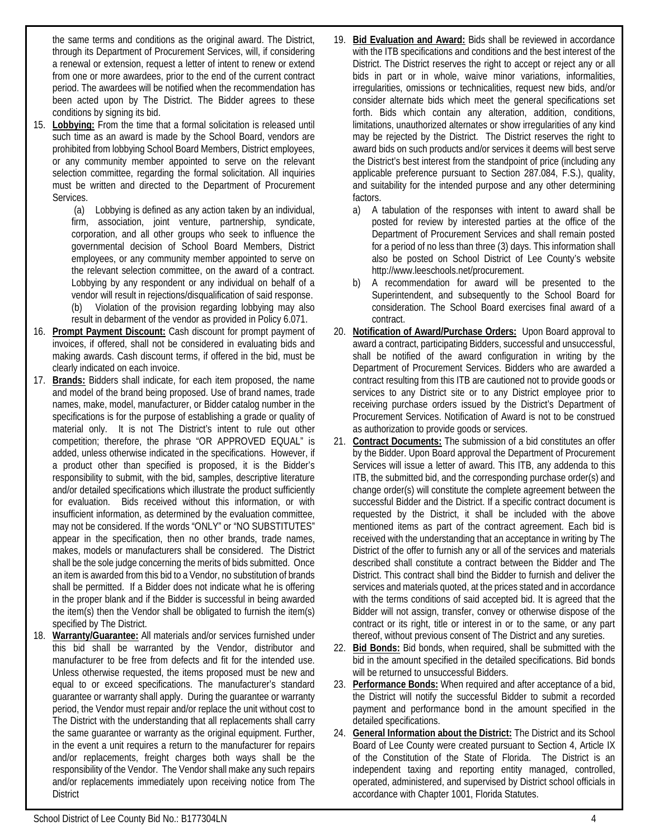the same terms and conditions as the original award. The District, through its Department of Procurement Services, will, if considering a renewal or extension, request a letter of intent to renew or extend from one or more awardees, prior to the end of the current contract period. The awardees will be notified when the recommendation has been acted upon by The District. The Bidder agrees to these conditions by signing its bid.

15. **Lobbying:** From the time that a formal solicitation is released until such time as an award is made by the School Board, vendors are prohibited from lobbying School Board Members, District employees, or any community member appointed to serve on the relevant selection committee, regarding the formal solicitation. All inquiries must be written and directed to the Department of Procurement Services.

(a) Lobbying is defined as any action taken by an individual, firm, association, joint venture, partnership, syndicate, corporation, and all other groups who seek to influence the governmental decision of School Board Members, District employees, or any community member appointed to serve on the relevant selection committee, on the award of a contract. Lobbying by any respondent or any individual on behalf of a vendor will result in rejections/disqualification of said response. (b) Violation of the provision regarding lobbying may also result in debarment of the vendor as provided in Policy 6.071.

- 16. **Prompt Payment Discount:** Cash discount for prompt payment of invoices, if offered, shall not be considered in evaluating bids and making awards. Cash discount terms, if offered in the bid, must be clearly indicated on each invoice.
- 17. **Brands:** Bidders shall indicate, for each item proposed, the name and model of the brand being proposed. Use of brand names, trade names, make, model, manufacturer, or Bidder catalog number in the specifications is for the purpose of establishing a grade or quality of material only. It is not The District's intent to rule out other competition; therefore, the phrase "OR APPROVED EQUAL" is added, unless otherwise indicated in the specifications. However, if a product other than specified is proposed, it is the Bidder's responsibility to submit, with the bid, samples, descriptive literature and/or detailed specifications which illustrate the product sufficiently for evaluation. Bids received without this information, or with insufficient information, as determined by the evaluation committee, may not be considered. If the words "ONLY" or "NO SUBSTITUTES" appear in the specification, then no other brands, trade names, makes, models or manufacturers shall be considered. The District shall be the sole judge concerning the merits of bids submitted. Once an item is awarded from this bid to a Vendor, no substitution of brands shall be permitted. If a Bidder does not indicate what he is offering in the proper blank and if the Bidder is successful in being awarded the item(s) then the Vendor shall be obligated to furnish the item(s) specified by The District.
- 18. **Warranty/Guarantee:** All materials and/or services furnished under this bid shall be warranted by the Vendor, distributor and manufacturer to be free from defects and fit for the intended use. Unless otherwise requested, the items proposed must be new and equal to or exceed specifications. The manufacturer's standard guarantee or warranty shall apply. During the guarantee or warranty period, the Vendor must repair and/or replace the unit without cost to The District with the understanding that all replacements shall carry the same guarantee or warranty as the original equipment. Further, in the event a unit requires a return to the manufacturer for repairs and/or replacements, freight charges both ways shall be the responsibility of the Vendor. The Vendor shall make any such repairs and/or replacements immediately upon receiving notice from The **District**
- 19. **Bid Evaluation and Award:** Bids shall be reviewed in accordance with the ITB specifications and conditions and the best interest of the District. The District reserves the right to accept or reject any or all bids in part or in whole, waive minor variations, informalities, irregularities, omissions or technicalities, request new bids, and/or consider alternate bids which meet the general specifications set forth. Bids which contain any alteration, addition, conditions, limitations, unauthorized alternates or show irregularities of any kind may be rejected by the District. The District reserves the right to award bids on such products and/or services it deems will best serve the District's best interest from the standpoint of price (including any applicable preference pursuant to Section 287.084, F.S.), quality, and suitability for the intended purpose and any other determining factors.
	- a) A tabulation of the responses with intent to award shall be posted for review by interested parties at the office of the Department of Procurement Services and shall remain posted for a period of no less than three (3) days. This information shall also be posted on School District of Lee County's website http://www.leeschools.net/procurement.
	- b) A recommendation for award will be presented to the Superintendent, and subsequently to the School Board for consideration. The School Board exercises final award of a contract.
- 20. **Notification of Award/Purchase Orders:** Upon Board approval to award a contract, participating Bidders, successful and unsuccessful, shall be notified of the award configuration in writing by the Department of Procurement Services. Bidders who are awarded a contract resulting from this ITB are cautioned not to provide goods or services to any District site or to any District employee prior to receiving purchase orders issued by the District's Department of Procurement Services. Notification of Award is not to be construed as authorization to provide goods or services.
- 21. **Contract Documents:** The submission of a bid constitutes an offer by the Bidder. Upon Board approval the Department of Procurement Services will issue a letter of award. This ITB, any addenda to this ITB, the submitted bid, and the corresponding purchase order(s) and change order(s) will constitute the complete agreement between the successful Bidder and the District. If a specific contract document is requested by the District, it shall be included with the above mentioned items as part of the contract agreement. Each bid is received with the understanding that an acceptance in writing by The District of the offer to furnish any or all of the services and materials described shall constitute a contract between the Bidder and The District. This contract shall bind the Bidder to furnish and deliver the services and materials quoted, at the prices stated and in accordance with the terms conditions of said accepted bid. It is agreed that the Bidder will not assign, transfer, convey or otherwise dispose of the contract or its right, title or interest in or to the same, or any part thereof, without previous consent of The District and any sureties.
- 22. **Bid Bonds:** Bid bonds, when required, shall be submitted with the bid in the amount specified in the detailed specifications. Bid bonds will be returned to unsuccessful Bidders.
- 23. **Performance Bonds:** When required and after acceptance of a bid, the District will notify the successful Bidder to submit a recorded payment and performance bond in the amount specified in the detailed specifications.
- 24. **General Information about the District:** The District and its School Board of Lee County were created pursuant to Section 4, Article IX of the Constitution of the State of Florida. The District is an independent taxing and reporting entity managed, controlled, operated, administered, and supervised by District school officials in accordance with Chapter 1001, Florida Statutes.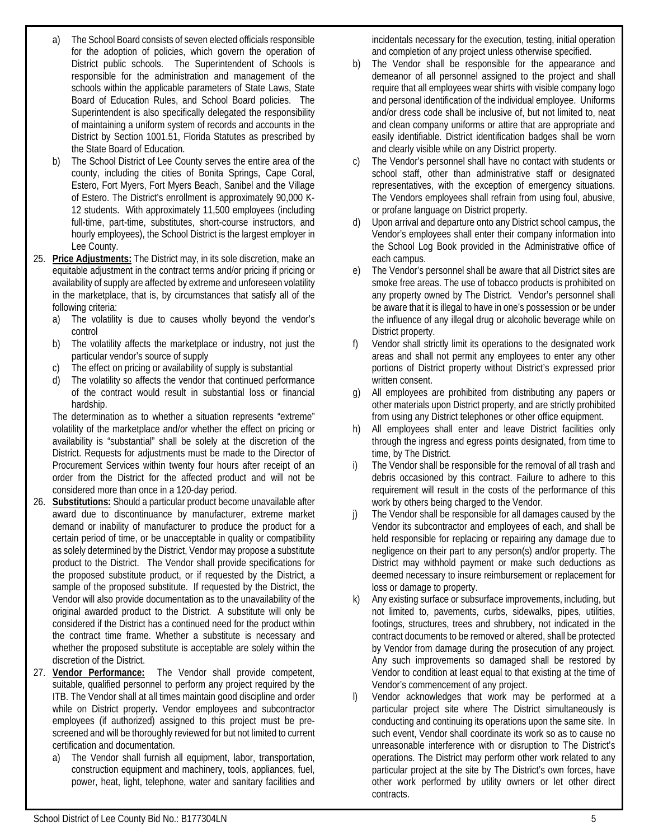- a) The School Board consists of seven elected officials responsible for the adoption of policies, which govern the operation of District public schools. The Superintendent of Schools is responsible for the administration and management of the schools within the applicable parameters of State Laws, State Board of Education Rules, and School Board policies. The Superintendent is also specifically delegated the responsibility of maintaining a uniform system of records and accounts in the District by Section 1001.51, Florida Statutes as prescribed by the State Board of Education.
- b) The School District of Lee County serves the entire area of the county, including the cities of Bonita Springs, Cape Coral, Estero, Fort Myers, Fort Myers Beach, Sanibel and the Village of Estero. The District's enrollment is approximately 90,000 K-12 students. With approximately 11,500 employees (including full-time, part-time, substitutes, short-course instructors, and hourly employees), the School District is the largest employer in Lee County.
- 25. **Price Adjustments:** The District may, in its sole discretion, make an equitable adjustment in the contract terms and/or pricing if pricing or availability of supply are affected by extreme and unforeseen volatility in the marketplace, that is, by circumstances that satisfy all of the following criteria:
	- a) The volatility is due to causes wholly beyond the vendor's control
	- b) The volatility affects the marketplace or industry, not just the particular vendor's source of supply
	- c) The effect on pricing or availability of supply is substantial
	- The volatility so affects the vendor that continued performance of the contract would result in substantial loss or financial hardship.

The determination as to whether a situation represents "extreme" volatility of the marketplace and/or whether the effect on pricing or availability is "substantial" shall be solely at the discretion of the District. Requests for adjustments must be made to the Director of Procurement Services within twenty four hours after receipt of an order from the District for the affected product and will not be considered more than once in a 120-day period.

- 26. **Substitutions:** Should a particular product become unavailable after award due to discontinuance by manufacturer, extreme market demand or inability of manufacturer to produce the product for a certain period of time, or be unacceptable in quality or compatibility as solely determined by the District, Vendor may propose a substitute product to the District. The Vendor shall provide specifications for the proposed substitute product, or if requested by the District, a sample of the proposed substitute. If requested by the District, the Vendor will also provide documentation as to the unavailability of the original awarded product to the District. A substitute will only be considered if the District has a continued need for the product within the contract time frame. Whether a substitute is necessary and whether the proposed substitute is acceptable are solely within the discretion of the District.
- 27. **Vendor Performance:** The Vendor shall provide competent, suitable, qualified personnel to perform any project required by the ITB. The Vendor shall at all times maintain good discipline and order while on District property**.** Vendor employees and subcontractor employees (if authorized) assigned to this project must be prescreened and will be thoroughly reviewed for but not limited to current certification and documentation.
	- a) The Vendor shall furnish all equipment, labor, transportation, construction equipment and machinery, tools, appliances, fuel, power, heat, light, telephone, water and sanitary facilities and

incidentals necessary for the execution, testing, initial operation and completion of any project unless otherwise specified.

- b) The Vendor shall be responsible for the appearance and demeanor of all personnel assigned to the project and shall require that all employees wear shirts with visible company logo and personal identification of the individual employee. Uniforms and/or dress code shall be inclusive of, but not limited to, neat and clean company uniforms or attire that are appropriate and easily identifiable. District identification badges shall be worn and clearly visible while on any District property.
- c) The Vendor's personnel shall have no contact with students or school staff, other than administrative staff or designated representatives, with the exception of emergency situations. The Vendors employees shall refrain from using foul, abusive, or profane language on District property.
- d) Upon arrival and departure onto any District school campus, the Vendor's employees shall enter their company information into the School Log Book provided in the Administrative office of each campus.
- e) The Vendor's personnel shall be aware that all District sites are smoke free areas. The use of tobacco products is prohibited on any property owned by The District. Vendor's personnel shall be aware that it is illegal to have in one's possession or be under the influence of any illegal drug or alcoholic beverage while on District property.
- Vendor shall strictly limit its operations to the designated work areas and shall not permit any employees to enter any other portions of District property without District's expressed prior written consent.
- g) All employees are prohibited from distributing any papers or other materials upon District property, and are strictly prohibited from using any District telephones or other office equipment.
- h) All employees shall enter and leave District facilities only through the ingress and egress points designated, from time to time, by The District.
- i) The Vendor shall be responsible for the removal of all trash and debris occasioned by this contract. Failure to adhere to this requirement will result in the costs of the performance of this work by others being charged to the Vendor.
- j) The Vendor shall be responsible for all damages caused by the Vendor its subcontractor and employees of each, and shall be held responsible for replacing or repairing any damage due to negligence on their part to any person(s) and/or property. The District may withhold payment or make such deductions as deemed necessary to insure reimbursement or replacement for loss or damage to property.
- k) Any existing surface or subsurface improvements, including, but not limited to, pavements, curbs, sidewalks, pipes, utilities, footings, structures, trees and shrubbery, not indicated in the contract documents to be removed or altered, shall be protected by Vendor from damage during the prosecution of any project. Any such improvements so damaged shall be restored by Vendor to condition at least equal to that existing at the time of Vendor's commencement of any project.
- l) Vendor acknowledges that work may be performed at a particular project site where The District simultaneously is conducting and continuing its operations upon the same site. In such event, Vendor shall coordinate its work so as to cause no unreasonable interference with or disruption to The District's operations. The District may perform other work related to any particular project at the site by The District's own forces, have other work performed by utility owners or let other direct contracts.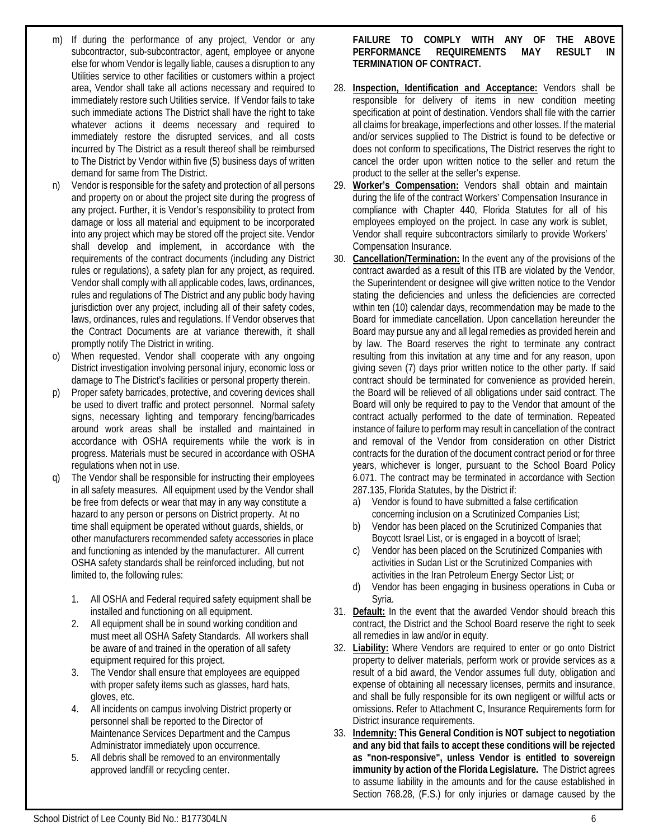- m) If during the performance of any project, Vendor or any subcontractor, sub-subcontractor, agent, employee or anyone else for whom Vendor is legally liable, causes a disruption to any Utilities service to other facilities or customers within a project area, Vendor shall take all actions necessary and required to immediately restore such Utilities service. If Vendor fails to take such immediate actions The District shall have the right to take whatever actions it deems necessary and required to immediately restore the disrupted services, and all costs incurred by The District as a result thereof shall be reimbursed to The District by Vendor within five (5) business days of written demand for same from The District.
- n) Vendor is responsible for the safety and protection of all persons and property on or about the project site during the progress of any project. Further, it is Vendor's responsibility to protect from damage or loss all material and equipment to be incorporated into any project which may be stored off the project site. Vendor shall develop and implement, in accordance with the requirements of the contract documents (including any District rules or regulations), a safety plan for any project, as required. Vendor shall comply with all applicable codes, laws, ordinances, rules and regulations of The District and any public body having jurisdiction over any project, including all of their safety codes, laws, ordinances, rules and regulations. If Vendor observes that the Contract Documents are at variance therewith, it shall promptly notify The District in writing.
- o) When requested, Vendor shall cooperate with any ongoing District investigation involving personal injury, economic loss or damage to The District's facilities or personal property therein.
- p) Proper safety barricades, protective, and covering devices shall be used to divert traffic and protect personnel. Normal safety signs, necessary lighting and temporary fencing/barricades around work areas shall be installed and maintained in accordance with OSHA requirements while the work is in progress. Materials must be secured in accordance with OSHA regulations when not in use.
- The Vendor shall be responsible for instructing their employees in all safety measures. All equipment used by the Vendor shall be free from defects or wear that may in any way constitute a hazard to any person or persons on District property. At no time shall equipment be operated without guards, shields, or other manufacturers recommended safety accessories in place and functioning as intended by the manufacturer. All current OSHA safety standards shall be reinforced including, but not limited to, the following rules:
	- 1. All OSHA and Federal required safety equipment shall be installed and functioning on all equipment.
	- 2. All equipment shall be in sound working condition and must meet all OSHA Safety Standards. All workers shall be aware of and trained in the operation of all safety equipment required for this project.
	- 3. The Vendor shall ensure that employees are equipped with proper safety items such as glasses, hard hats, gloves, etc.
	- 4. All incidents on campus involving District property or personnel shall be reported to the Director of Maintenance Services Department and the Campus Administrator immediately upon occurrence.
	- 5. All debris shall be removed to an environmentally approved landfill or recycling center.

**FAILURE TO COMPLY WITH ANY OF THE ABOVE PERFORMANCE REQUIREMENTS MAY RESULT IN TERMINATION OF CONTRACT.**

- 28. **Inspection, Identification and Acceptance:** Vendors shall be responsible for delivery of items in new condition meeting specification at point of destination. Vendors shall file with the carrier all claims for breakage, imperfections and other losses. If the material and/or services supplied to The District is found to be defective or does not conform to specifications, The District reserves the right to cancel the order upon written notice to the seller and return the product to the seller at the seller's expense.
- 29. **Worker's Compensation:** Vendors shall obtain and maintain during the life of the contract Workers' Compensation Insurance in compliance with Chapter 440, Florida Statutes for all of his employees employed on the project. In case any work is sublet, Vendor shall require subcontractors similarly to provide Workers' Compensation Insurance.
- 30. **Cancellation/Termination:** In the event any of the provisions of the contract awarded as a result of this ITB are violated by the Vendor, the Superintendent or designee will give written notice to the Vendor stating the deficiencies and unless the deficiencies are corrected within ten (10) calendar days, recommendation may be made to the Board for immediate cancellation. Upon cancellation hereunder the Board may pursue any and all legal remedies as provided herein and by law. The Board reserves the right to terminate any contract resulting from this invitation at any time and for any reason, upon giving seven (7) days prior written notice to the other party. If said contract should be terminated for convenience as provided herein, the Board will be relieved of all obligations under said contract. The Board will only be required to pay to the Vendor that amount of the contract actually performed to the date of termination. Repeated instance of failure to perform may result in cancellation of the contract and removal of the Vendor from consideration on other District contracts for the duration of the document contract period or for three years, whichever is longer, pursuant to the School Board Policy 6.071. The contract may be terminated in accordance with Section 287.135, Florida Statutes, by the District if:
	- a) Vendor is found to have submitted a false certification concerning inclusion on a Scrutinized Companies List;
	- b) Vendor has been placed on the Scrutinized Companies that Boycott Israel List, or is engaged in a boycott of Israel;
	- c) Vendor has been placed on the Scrutinized Companies with activities in Sudan List or the Scrutinized Companies with activities in the Iran Petroleum Energy Sector List; or
	- d) Vendor has been engaging in business operations in Cuba or Syria.
- 31. **Default:** In the event that the awarded Vendor should breach this contract, the District and the School Board reserve the right to seek all remedies in law and/or in equity.
- 32. **Liability:** Where Vendors are required to enter or go onto District property to deliver materials, perform work or provide services as a result of a bid award, the Vendor assumes full duty, obligation and expense of obtaining all necessary licenses, permits and insurance, and shall be fully responsible for its own negligent or willful acts or omissions. Refer to Attachment C, Insurance Requirements form for District insurance requirements.
- 33. **Indemnity: This General Condition is NOT subject to negotiation and any bid that fails to accept these conditions will be rejected as "non-responsive", unless Vendor is entitled to sovereign immunity by action of the Florida Legislature.** The District agrees to assume liability in the amounts and for the cause established in Section 768.28, (F.S.) for only injuries or damage caused by the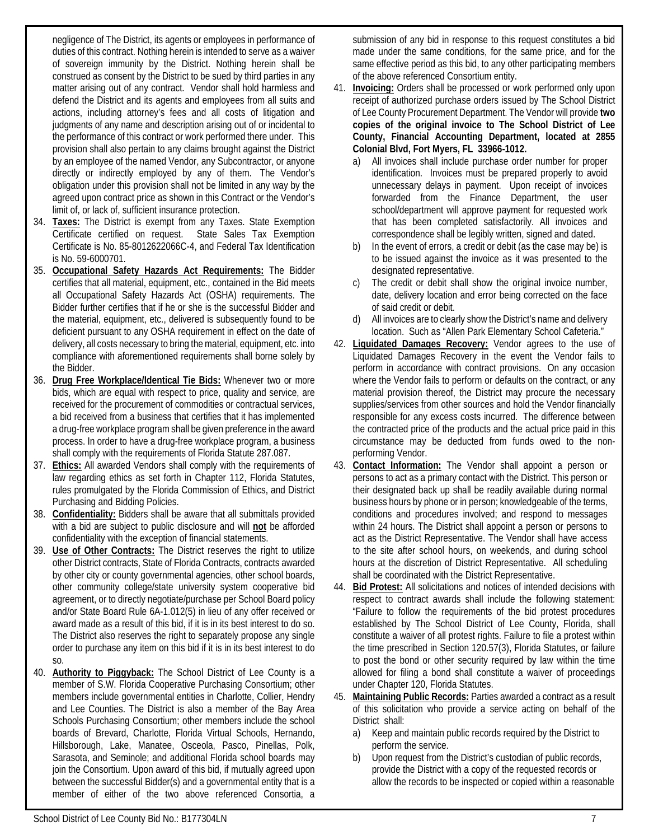negligence of The District, its agents or employees in performance of duties of this contract. Nothing herein is intended to serve as a waiver of sovereign immunity by the District. Nothing herein shall be construed as consent by the District to be sued by third parties in any matter arising out of any contract. Vendor shall hold harmless and defend the District and its agents and employees from all suits and actions, including attorney's fees and all costs of litigation and judgments of any name and description arising out of or incidental to the performance of this contract or work performed there under. This provision shall also pertain to any claims brought against the District by an employee of the named Vendor, any Subcontractor, or anyone directly or indirectly employed by any of them. The Vendor's obligation under this provision shall not be limited in any way by the agreed upon contract price as shown in this Contract or the Vendor's limit of, or lack of, sufficient insurance protection.

- 34. **Taxes:** The District is exempt from any Taxes. State Exemption Certificate certified on request. State Sales Tax Exemption Certificate is No. 85-8012622066C-4, and Federal Tax Identification is No. 59-6000701.
- 35. **Occupational Safety Hazards Act Requirements:** The Bidder certifies that all material, equipment, etc., contained in the Bid meets all Occupational Safety Hazards Act (OSHA) requirements. The Bidder further certifies that if he or she is the successful Bidder and the material, equipment, etc., delivered is subsequently found to be deficient pursuant to any OSHA requirement in effect on the date of delivery, all costs necessary to bring the material, equipment, etc. into compliance with aforementioned requirements shall borne solely by the Bidder.
- 36. **Drug Free Workplace/Identical Tie Bids:** Whenever two or more bids, which are equal with respect to price, quality and service, are received for the procurement of commodities or contractual services, a bid received from a business that certifies that it has implemented a drug-free workplace program shall be given preference in the award process. In order to have a drug-free workplace program, a business shall comply with the requirements of Florida Statute 287.087.
- 37. **Ethics:** All awarded Vendors shall comply with the requirements of law regarding ethics as set forth in Chapter 112, Florida Statutes, rules promulgated by the Florida Commission of Ethics, and District Purchasing and Bidding Policies.
- 38. **Confidentiality:** Bidders shall be aware that all submittals provided with a bid are subject to public disclosure and will **not** be afforded confidentiality with the exception of financial statements.
- 39. **Use of Other Contracts:** The District reserves the right to utilize other District contracts, State of Florida Contracts, contracts awarded by other city or county governmental agencies, other school boards, other community college/state university system cooperative bid agreement, or to directly negotiate/purchase per School Board policy and/or State Board Rule 6A-1.012(5) in lieu of any offer received or award made as a result of this bid, if it is in its best interest to do so. The District also reserves the right to separately propose any single order to purchase any item on this bid if it is in its best interest to do so.
- 40. **Authority to Piggyback:** The School District of Lee County is a member of S.W. Florida Cooperative Purchasing Consortium; other members include governmental entities in Charlotte, Collier, Hendry and Lee Counties. The District is also a member of the Bay Area Schools Purchasing Consortium; other members include the school boards of Brevard, Charlotte, Florida Virtual Schools, Hernando, Hillsborough, Lake, Manatee, Osceola, Pasco, Pinellas, Polk, Sarasota, and Seminole; and additional Florida school boards may join the Consortium. Upon award of this bid, if mutually agreed upon between the successful Bidder(s) and a governmental entity that is a member of either of the two above referenced Consortia, a

submission of any bid in response to this request constitutes a bid made under the same conditions, for the same price, and for the same effective period as this bid, to any other participating members of the above referenced Consortium entity.

- 41. **Invoicing:** Orders shall be processed or work performed only upon receipt of authorized purchase orders issued by The School District of Lee County Procurement Department. The Vendor will provide **two copies of the original invoice to The School District of Lee County, Financial Accounting Department, located at 2855 Colonial Blvd, Fort Myers, FL 33966-1012.**
	- a) All invoices shall include purchase order number for proper identification. Invoices must be prepared properly to avoid unnecessary delays in payment. Upon receipt of invoices forwarded from the Finance Department, the user school/department will approve payment for requested work that has been completed satisfactorily. All invoices and correspondence shall be legibly written, signed and dated.
	- b) In the event of errors, a credit or debit (as the case may be) is to be issued against the invoice as it was presented to the designated representative.
	- c) The credit or debit shall show the original invoice number, date, delivery location and error being corrected on the face of said credit or debit.
	- d) All invoices are to clearly show the District's name and delivery location. Such as "Allen Park Elementary School Cafeteria."
- 42. **Liquidated Damages Recovery:** Vendor agrees to the use of Liquidated Damages Recovery in the event the Vendor fails to perform in accordance with contract provisions. On any occasion where the Vendor fails to perform or defaults on the contract, or any material provision thereof, the District may procure the necessary supplies/services from other sources and hold the Vendor financially responsible for any excess costs incurred. The difference between the contracted price of the products and the actual price paid in this circumstance may be deducted from funds owed to the nonperforming Vendor.
- 43. **Contact Information:** The Vendor shall appoint a person or persons to act as a primary contact with the District. This person or their designated back up shall be readily available during normal business hours by phone or in person; knowledgeable of the terms, conditions and procedures involved; and respond to messages within 24 hours. The District shall appoint a person or persons to act as the District Representative. The Vendor shall have access to the site after school hours, on weekends, and during school hours at the discretion of District Representative. All scheduling shall be coordinated with the District Representative.
- 44. **Bid Protest:** All solicitations and notices of intended decisions with respect to contract awards shall include the following statement: "Failure to follow the requirements of the bid protest procedures established by The School District of Lee County, Florida, shall constitute a waiver of all protest rights. Failure to file a protest within the time prescribed in Section 120.57(3), Florida Statutes, or failure to post the bond or other security required by law within the time allowed for filing a bond shall constitute a waiver of proceedings under Chapter 120, Florida Statutes.
- 45. **Maintaining Public Records:** Parties awarded a contract as a result of this solicitation who provide a service acting on behalf of the District shall:
	- a) Keep and maintain public records required by the District to perform the service.
	- b) Upon request from the District's custodian of public records, provide the District with a copy of the requested records or allow the records to be inspected or copied within a reasonable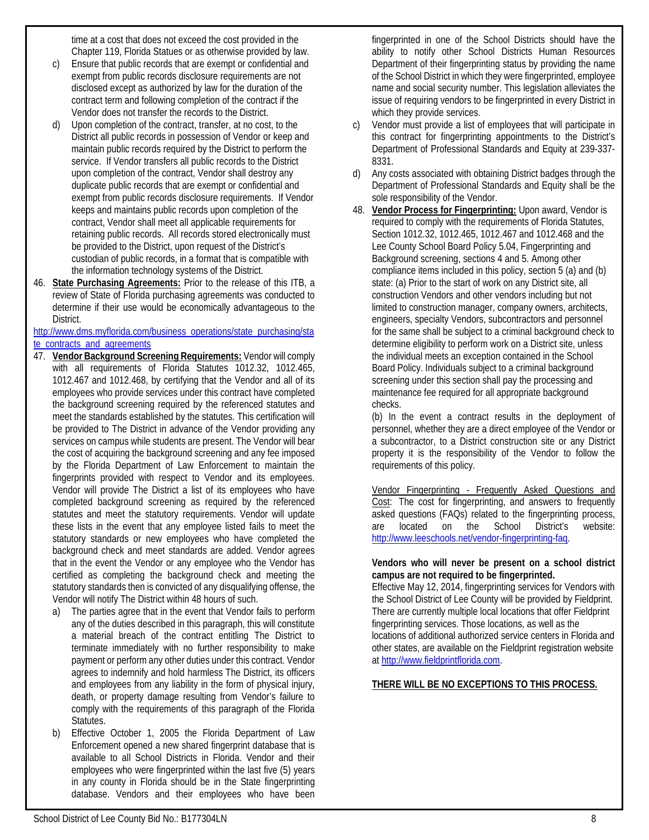time at a cost that does not exceed the cost provided in the Chapter 119, Florida Statues or as otherwise provided by law.

- Ensure that public records that are exempt or confidential and exempt from public records disclosure requirements are not disclosed except as authorized by law for the duration of the contract term and following completion of the contract if the Vendor does not transfer the records to the District.
- d) Upon completion of the contract, transfer, at no cost, to the District all public records in possession of Vendor or keep and maintain public records required by the District to perform the service. If Vendor transfers all public records to the District upon completion of the contract, Vendor shall destroy any duplicate public records that are exempt or confidential and exempt from public records disclosure requirements. If Vendor keeps and maintains public records upon completion of the contract, Vendor shall meet all applicable requirements for retaining public records. All records stored electronically must be provided to the District, upon request of the District's custodian of public records, in a format that is compatible with the information technology systems of the District.
- 46. **State Purchasing Agreements:** Prior to the release of this ITB, a review of State of Florida purchasing agreements was conducted to determine if their use would be economically advantageous to the District.

[http://www.dms.myflorida.com/business\\_operations/state\\_purchasing/sta](http://www.dms.myflorida.com/business_operations/state_purchasing/state_contracts_and_agreements) [te\\_contracts\\_and\\_agreements](http://www.dms.myflorida.com/business_operations/state_purchasing/state_contracts_and_agreements)

- 47. **Vendor Background Screening Requirements:** Vendor will comply with all requirements of Florida Statutes 1012.32, 1012.465, 1012.467 and 1012.468, by certifying that the Vendor and all of its employees who provide services under this contract have completed the background screening required by the referenced statutes and meet the standards established by the statutes. This certification will be provided to The District in advance of the Vendor providing any services on campus while students are present. The Vendor will bear the cost of acquiring the background screening and any fee imposed by the Florida Department of Law Enforcement to maintain the fingerprints provided with respect to Vendor and its employees. Vendor will provide The District a list of its employees who have completed background screening as required by the referenced statutes and meet the statutory requirements. Vendor will update these lists in the event that any employee listed fails to meet the statutory standards or new employees who have completed the background check and meet standards are added. Vendor agrees that in the event the Vendor or any employee who the Vendor has certified as completing the background check and meeting the statutory standards then is convicted of any disqualifying offense, the Vendor will notify The District within 48 hours of such.
	- a) The parties agree that in the event that Vendor fails to perform any of the duties described in this paragraph, this will constitute a material breach of the contract entitling The District to terminate immediately with no further responsibility to make payment or perform any other duties under this contract. Vendor agrees to indemnify and hold harmless The District, its officers and employees from any liability in the form of physical injury, death, or property damage resulting from Vendor's failure to comply with the requirements of this paragraph of the Florida Statutes.
	- b) Effective October 1, 2005 the Florida Department of Law Enforcement opened a new shared fingerprint database that is available to all School Districts in Florida. Vendor and their employees who were fingerprinted within the last five (5) years in any county in Florida should be in the State fingerprinting database. Vendors and their employees who have been

fingerprinted in one of the School Districts should have the ability to notify other School Districts Human Resources Department of their fingerprinting status by providing the name of the School District in which they were fingerprinted, employee name and social security number. This legislation alleviates the issue of requiring vendors to be fingerprinted in every District in which they provide services.

- c) Vendor must provide a list of employees that will participate in this contract for fingerprinting appointments to the District's Department of Professional Standards and Equity at 239-337- 8331.
- d) Any costs associated with obtaining District badges through the Department of Professional Standards and Equity shall be the sole responsibility of the Vendor.
- 48. **Vendor Process for Fingerprinting:** Upon award, Vendor is required to comply with the requirements of Florida Statutes, Section 1012.32, 1012.465, 1012.467 and 1012.468 and the Lee County School Board Policy 5.04, Fingerprinting and Background screening, sections 4 and 5. Among other compliance items included in this policy, section 5 (a) and (b) state: (a) Prior to the start of work on any District site, all construction Vendors and other vendors including but not limited to construction manager, company owners, architects, engineers, specialty Vendors, subcontractors and personnel for the same shall be subject to a criminal background check to determine eligibility to perform work on a District site, unless the individual meets an exception contained in the School Board Policy. Individuals subject to a criminal background screening under this section shall pay the processing and maintenance fee required for all appropriate background checks.

(b) In the event a contract results in the deployment of personnel, whether they are a direct employee of the Vendor or a subcontractor, to a District construction site or any District property it is the responsibility of the Vendor to follow the requirements of this policy.

Vendor Fingerprinting - Frequently Asked Questions and Cost: The cost for fingerprinting, and answers to frequently asked questions (FAQs) related to the fingerprinting process, are located on the School District's website: [http://www.leeschools.net/vendor-fingerprinting-faq.](http://www.leeschools.net/vendor-fingerprinting-faq) 

#### **Vendors who will never be present on a school district campus are not required to be fingerprinted.**

Effective May 12, 2014, fingerprinting services for Vendors with the School District of Lee County will be provided by Fieldprint. There are currently multiple local locations that offer Fieldprint fingerprinting services. Those locations, as well as the locations of additional authorized service centers in Florida and other states, are available on the Fieldprint registration website at [http://www.fieldprintflorida.com.](http://www.fieldprintflorida.com/)

### **THERE WILL BE NO EXCEPTIONS TO THIS PROCESS.**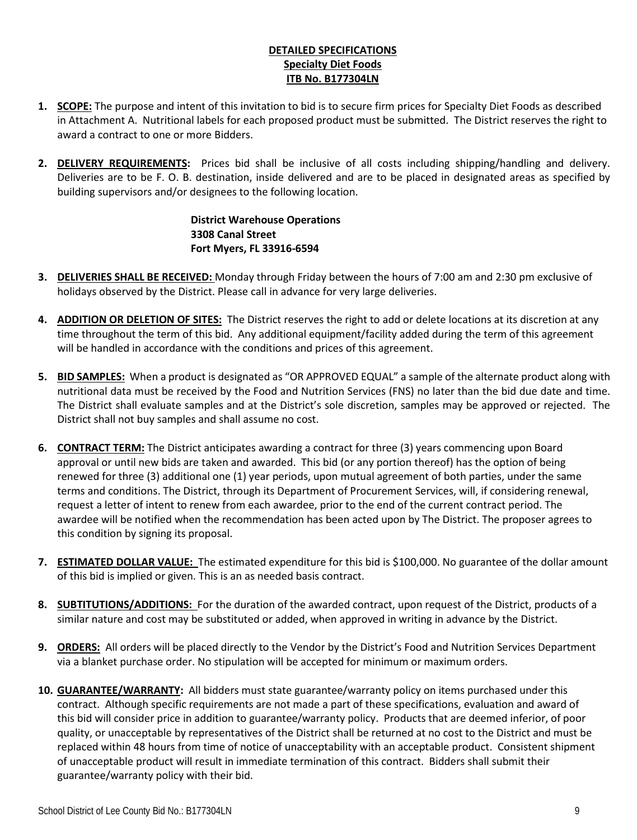## **DETAILED SPECIFICATIONS Specialty Diet Foods ITB No. B177304LN**

- **1. SCOPE:** The purpose and intent of this invitation to bid is to secure firm prices for Specialty Diet Foods as described in Attachment A. Nutritional labels for each proposed product must be submitted. The District reserves the right to award a contract to one or more Bidders.
- **2. DELIVERY REQUIREMENTS:** Prices bid shall be inclusive of all costs including shipping/handling and delivery. Deliveries are to be F. O. B. destination, inside delivered and are to be placed in designated areas as specified by building supervisors and/or designees to the following location.

**District Warehouse Operations 3308 Canal Street Fort Myers, FL 33916-6594**

- **3. DELIVERIES SHALL BE RECEIVED:** Monday through Friday between the hours of 7:00 am and 2:30 pm exclusive of holidays observed by the District. Please call in advance for very large deliveries.
- **4. ADDITION OR DELETION OF SITES:** The District reserves the right to add or delete locations at its discretion at any time throughout the term of this bid. Any additional equipment/facility added during the term of this agreement will be handled in accordance with the conditions and prices of this agreement.
- **5. BID SAMPLES:** When a product is designated as "OR APPROVED EQUAL" a sample of the alternate product along with nutritional data must be received by the Food and Nutrition Services (FNS) no later than the bid due date and time. The District shall evaluate samples and at the District's sole discretion, samples may be approved or rejected. The District shall not buy samples and shall assume no cost.
- **6. CONTRACT TERM:** The District anticipates awarding a contract for three (3) years commencing upon Board approval or until new bids are taken and awarded. This bid (or any portion thereof) has the option of being renewed for three (3) additional one (1) year periods, upon mutual agreement of both parties, under the same terms and conditions. The District, through its Department of Procurement Services, will, if considering renewal, request a letter of intent to renew from each awardee, prior to the end of the current contract period. The awardee will be notified when the recommendation has been acted upon by The District. The proposer agrees to this condition by signing its proposal.
- **7. ESTIMATED DOLLAR VALUE:** The estimated expenditure for this bid is \$100,000. No guarantee of the dollar amount of this bid is implied or given. This is an as needed basis contract.
- **8. SUBTITUTIONS/ADDITIONS:** For the duration of the awarded contract, upon request of the District, products of a similar nature and cost may be substituted or added, when approved in writing in advance by the District.
- **9. ORDERS:** All orders will be placed directly to the Vendor by the District's Food and Nutrition Services Department via a blanket purchase order. No stipulation will be accepted for minimum or maximum orders.
- **10. GUARANTEE/WARRANTY:** All bidders must state guarantee/warranty policy on items purchased under this contract. Although specific requirements are not made a part of these specifications, evaluation and award of this bid will consider price in addition to guarantee/warranty policy. Products that are deemed inferior, of poor quality, or unacceptable by representatives of the District shall be returned at no cost to the District and must be replaced within 48 hours from time of notice of unacceptability with an acceptable product. Consistent shipment of unacceptable product will result in immediate termination of this contract. Bidders shall submit their guarantee/warranty policy with their bid.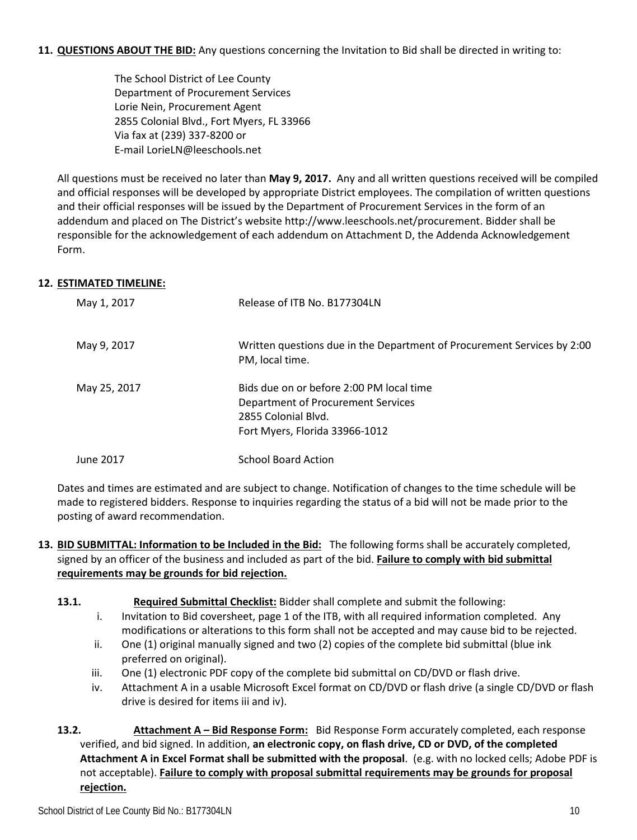**11. QUESTIONS ABOUT THE BID:** Any questions concerning the Invitation to Bid shall be directed in writing to:

The School District of Lee County Department of Procurement Services Lorie Nein, Procurement Agent 2855 Colonial Blvd., Fort Myers, FL 33966 Via fax at (239) 337-8200 or E-mail LorieLN@leeschools.net

All questions must be received no later than **May 9, 2017.** Any and all written questions received will be compiled and official responses will be developed by appropriate District employees. The compilation of written questions and their official responses will be issued by the Department of Procurement Services in the form of an addendum and placed on The District's website http://www.leeschools.net/procurement. Bidder shall be responsible for the acknowledgement of each addendum on Attachment D, the Addenda Acknowledgement Form.

## **12. ESTIMATED TIMELINE:**

| May 1, 2017  | Release of ITB No. B177304LN                                                                                                            |
|--------------|-----------------------------------------------------------------------------------------------------------------------------------------|
| May 9, 2017  | Written questions due in the Department of Procurement Services by 2:00<br>PM, local time.                                              |
| May 25, 2017 | Bids due on or before 2:00 PM local time<br>Department of Procurement Services<br>2855 Colonial Blvd.<br>Fort Myers, Florida 33966-1012 |
| June 2017    | <b>School Board Action</b>                                                                                                              |

Dates and times are estimated and are subject to change. Notification of changes to the time schedule will be made to registered bidders. Response to inquiries regarding the status of a bid will not be made prior to the posting of award recommendation.

- **13. BID SUBMITTAL: Information to be Included in the Bid:** The following forms shall be accurately completed, signed by an officer of the business and included as part of the bid. **Failure to comply with bid submittal requirements may be grounds for bid rejection.**
	- **13.1. Required Submittal Checklist:** Bidder shall complete and submit the following:
		- i. Invitation to Bid coversheet, page 1 of the ITB, with all required information completed. Any modifications or alterations to this form shall not be accepted and may cause bid to be rejected.
		- ii. One (1) original manually signed and two (2) copies of the complete bid submittal (blue ink preferred on original).
		- iii. One (1) electronic PDF copy of the complete bid submittal on CD/DVD or flash drive.
		- iv. Attachment A in a usable Microsoft Excel format on CD/DVD or flash drive (a single CD/DVD or flash drive is desired for items iii and iv).

**13.2. Attachment A – Bid Response Form:** Bid Response Form accurately completed, each response verified, and bid signed. In addition, **an electronic copy, on flash drive, CD or DVD, of the completed Attachment A in Excel Format shall be submitted with the proposal**. (e.g. with no locked cells; Adobe PDF is not acceptable). **Failure to comply with proposal submittal requirements may be grounds for proposal rejection.**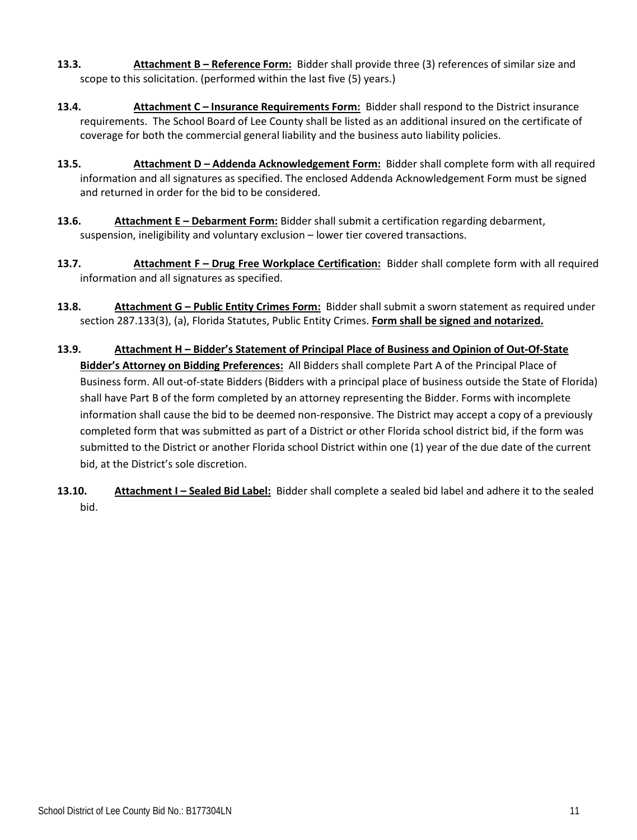- **13.3. Attachment B – Reference Form:** Bidder shall provide three (3) references of similar size and scope to this solicitation. (performed within the last five (5) years.)
- **13.4. Attachment C – Insurance Requirements Form:** Bidder shall respond to the District insurance requirements. The School Board of Lee County shall be listed as an additional insured on the certificate of coverage for both the commercial general liability and the business auto liability policies.
- **13.5. Attachment D – Addenda Acknowledgement Form:** Bidder shall complete form with all required information and all signatures as specified. The enclosed Addenda Acknowledgement Form must be signed and returned in order for the bid to be considered.
- **13.6. Attachment E Debarment Form:** Bidder shall submit a certification regarding debarment, suspension, ineligibility and voluntary exclusion – lower tier covered transactions.
- **13.7. Attachment F – Drug Free Workplace Certification:** Bidder shall complete form with all required information and all signatures as specified.
- **13.8. Attachment G – Public Entity Crimes Form:** Bidder shall submit a sworn statement as required under section 287.133(3), (a), Florida Statutes, Public Entity Crimes. **Form shall be signed and notarized.**
- **13.9. Attachment H – Bidder's Statement of Principal Place of Business and Opinion of Out-Of-State Bidder's Attorney on Bidding Preferences:** All Bidders shall complete Part A of the Principal Place of Business form. All out-of-state Bidders (Bidders with a principal place of business outside the State of Florida) shall have Part B of the form completed by an attorney representing the Bidder. Forms with incomplete information shall cause the bid to be deemed non-responsive. The District may accept a copy of a previously completed form that was submitted as part of a District or other Florida school district bid, if the form was submitted to the District or another Florida school District within one (1) year of the due date of the current bid, at the District's sole discretion.
- **13.10. Attachment I – Sealed Bid Label:** Bidder shall complete a sealed bid label and adhere it to the sealed bid.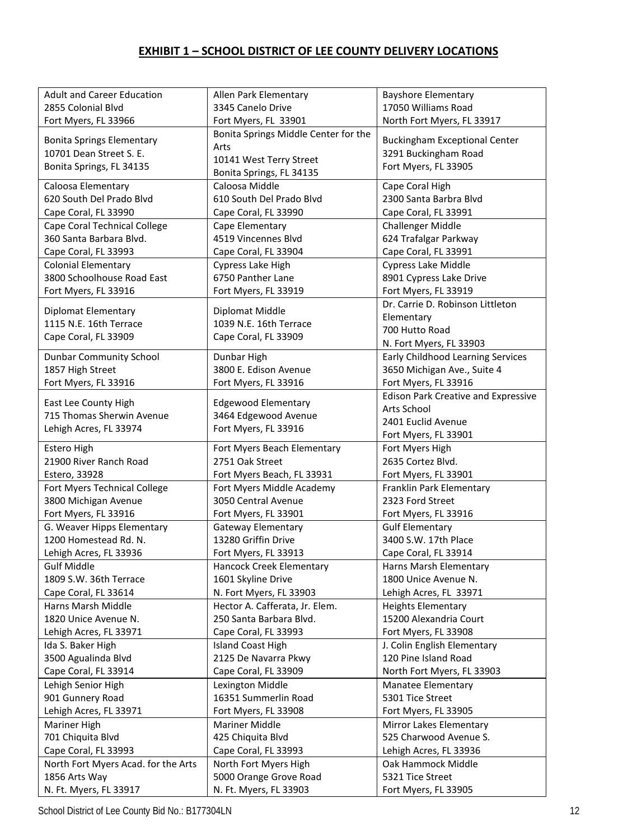## **EXHIBIT 1 – SCHOOL DISTRICT OF LEE COUNTY DELIVERY LOCATIONS**

| <b>Adult and Career Education</b><br><b>Bayshore Elementary</b><br>Allen Park Elementary<br>3345 Canelo Drive<br>17050 Williams Road<br>2855 Colonial Blvd<br>Fort Myers, FL 33966<br>Fort Myers, FL 33901<br>North Fort Myers, FL 33917<br>Bonita Springs Middle Center for the<br><b>Buckingham Exceptional Center</b><br><b>Bonita Springs Elementary</b><br>Arts<br>10701 Dean Street S. E.<br>3291 Buckingham Road<br>10141 West Terry Street<br>Fort Myers, FL 33905<br>Bonita Springs, FL 34135<br>Bonita Springs, FL 34135<br>Caloosa Elementary<br>Cape Coral High<br>Caloosa Middle<br>620 South Del Prado Blvd<br>610 South Del Prado Blvd<br>2300 Santa Barbra Blvd<br>Cape Coral, FL 33990<br>Cape Coral, FL 33990<br>Cape Coral, FL 33991<br>Cape Coral Technical College<br>Cape Elementary<br><b>Challenger Middle</b><br>360 Santa Barbara Blvd.<br>4519 Vincennes Blvd<br>624 Trafalgar Parkway<br>Cape Coral, FL 33993<br>Cape Coral, FL 33904<br>Cape Coral, FL 33991<br><b>Colonial Elementary</b><br>Cypress Lake High<br>Cypress Lake Middle<br>3800 Schoolhouse Road East<br>6750 Panther Lane<br>8901 Cypress Lake Drive<br>Fort Myers, FL 33919<br>Fort Myers, FL 33916<br>Fort Myers, FL 33919<br>Dr. Carrie D. Robinson Littleton<br><b>Diplomat Elementary</b><br>Diplomat Middle<br>Elementary<br>1115 N.E. 16th Terrace<br>1039 N.E. 16th Terrace<br>700 Hutto Road<br>Cape Coral, FL 33909<br>Cape Coral, FL 33909<br>N. Fort Myers, FL 33903<br>Early Childhood Learning Services<br><b>Dunbar Community School</b><br>Dunbar High<br>3800 E. Edison Avenue<br>1857 High Street<br>3650 Michigan Ave., Suite 4<br>Fort Myers, FL 33916<br>Fort Myers, FL 33916<br>Fort Myers, FL 33916<br><b>Edison Park Creative and Expressive</b><br>East Lee County High<br><b>Edgewood Elementary</b><br>Arts School<br>715 Thomas Sherwin Avenue<br>3464 Edgewood Avenue<br>2401 Euclid Avenue<br>Lehigh Acres, FL 33974<br>Fort Myers, FL 33916<br>Fort Myers, FL 33901<br>Estero High<br>Fort Myers Beach Elementary<br>Fort Myers High<br>2635 Cortez Blvd.<br>21900 River Ranch Road<br>2751 Oak Street<br>Estero, 33928<br>Fort Myers Beach, FL 33931<br>Fort Myers, FL 33901<br>Fort Myers Technical College<br>Fort Myers Middle Academy<br>Franklin Park Elementary<br>3050 Central Avenue<br>3800 Michigan Avenue<br>2323 Ford Street<br>Fort Myers, FL 33916<br>Fort Myers, FL 33901<br>Fort Myers, FL 33916<br>G. Weaver Hipps Elementary<br><b>Gateway Elementary</b><br><b>Gulf Elementary</b><br>13280 Griffin Drive<br>1200 Homestead Rd. N.<br>3400 S.W. 17th Place<br>Lehigh Acres, FL 33936<br>Fort Myers, FL 33913<br>Cape Coral, FL 33914<br><b>Gulf Middle</b><br>Harns Marsh Elementary<br>Hancock Creek Elementary<br>1809 S.W. 36th Terrace<br>1601 Skyline Drive<br>1800 Unice Avenue N.<br>N. Fort Myers, FL 33903<br>Lehigh Acres, FL 33971<br>Cape Coral, FL 33614<br>Hector A. Cafferata, Jr. Elem.<br>Harns Marsh Middle<br><b>Heights Elementary</b><br>1820 Unice Avenue N.<br>250 Santa Barbara Blvd.<br>15200 Alexandria Court<br>Cape Coral, FL 33993<br>Lehigh Acres, FL 33971<br>Fort Myers, FL 33908<br>Ida S. Baker High<br><b>Island Coast High</b><br>J. Colin English Elementary<br>3500 Agualinda Blvd<br>2125 De Navarra Pkwy<br>120 Pine Island Road<br>Cape Coral, FL 33914<br>Cape Coral, FL 33909<br>North Fort Myers, FL 33903<br>Lehigh Senior High<br>Lexington Middle<br>Manatee Elementary<br>16351 Summerlin Road<br>901 Gunnery Road<br>5301 Tice Street<br>Lehigh Acres, FL 33971<br>Fort Myers, FL 33908<br>Fort Myers, FL 33905<br>Mariner High<br><b>Mariner Middle</b><br>Mirror Lakes Elementary<br>525 Charwood Avenue S.<br>701 Chiquita Blvd<br>425 Chiquita Blvd<br>Cape Coral, FL 33993<br>Cape Coral, FL 33993<br>Lehigh Acres, FL 33936<br>North Fort Myers Acad. for the Arts<br>North Fort Myers High<br>Oak Hammock Middle<br>1856 Arts Way<br>5000 Orange Grove Road<br>5321 Tice Street |  |  |
|-----------------------------------------------------------------------------------------------------------------------------------------------------------------------------------------------------------------------------------------------------------------------------------------------------------------------------------------------------------------------------------------------------------------------------------------------------------------------------------------------------------------------------------------------------------------------------------------------------------------------------------------------------------------------------------------------------------------------------------------------------------------------------------------------------------------------------------------------------------------------------------------------------------------------------------------------------------------------------------------------------------------------------------------------------------------------------------------------------------------------------------------------------------------------------------------------------------------------------------------------------------------------------------------------------------------------------------------------------------------------------------------------------------------------------------------------------------------------------------------------------------------------------------------------------------------------------------------------------------------------------------------------------------------------------------------------------------------------------------------------------------------------------------------------------------------------------------------------------------------------------------------------------------------------------------------------------------------------------------------------------------------------------------------------------------------------------------------------------------------------------------------------------------------------------------------------------------------------------------------------------------------------------------------------------------------------------------------------------------------------------------------------------------------------------------------------------------------------------------------------------------------------------------------------------------------------------------------------------------------------------------------------------------------------------------------------------------------------------------------------------------------------------------------------------------------------------------------------------------------------------------------------------------------------------------------------------------------------------------------------------------------------------------------------------------------------------------------------------------------------------------------------------------------------------------------------------------------------------------------------------------------------------------------------------------------------------------------------------------------------------------------------------------------------------------------------------------------------------------------------------------------------------------------------------------------------------------------------------------------------------------------------------------------------------------------------------------------------------------------------------------------------------------------------------------------------------------------------------------------------------------------------------------------------------------------------------------------------------------------|--|--|
|                                                                                                                                                                                                                                                                                                                                                                                                                                                                                                                                                                                                                                                                                                                                                                                                                                                                                                                                                                                                                                                                                                                                                                                                                                                                                                                                                                                                                                                                                                                                                                                                                                                                                                                                                                                                                                                                                                                                                                                                                                                                                                                                                                                                                                                                                                                                                                                                                                                                                                                                                                                                                                                                                                                                                                                                                                                                                                                                                                                                                                                                                                                                                                                                                                                                                                                                                                                                                                                                                                                                                                                                                                                                                                                                                                                                                                                                                                                                                                                         |  |  |
|                                                                                                                                                                                                                                                                                                                                                                                                                                                                                                                                                                                                                                                                                                                                                                                                                                                                                                                                                                                                                                                                                                                                                                                                                                                                                                                                                                                                                                                                                                                                                                                                                                                                                                                                                                                                                                                                                                                                                                                                                                                                                                                                                                                                                                                                                                                                                                                                                                                                                                                                                                                                                                                                                                                                                                                                                                                                                                                                                                                                                                                                                                                                                                                                                                                                                                                                                                                                                                                                                                                                                                                                                                                                                                                                                                                                                                                                                                                                                                                         |  |  |
|                                                                                                                                                                                                                                                                                                                                                                                                                                                                                                                                                                                                                                                                                                                                                                                                                                                                                                                                                                                                                                                                                                                                                                                                                                                                                                                                                                                                                                                                                                                                                                                                                                                                                                                                                                                                                                                                                                                                                                                                                                                                                                                                                                                                                                                                                                                                                                                                                                                                                                                                                                                                                                                                                                                                                                                                                                                                                                                                                                                                                                                                                                                                                                                                                                                                                                                                                                                                                                                                                                                                                                                                                                                                                                                                                                                                                                                                                                                                                                                         |  |  |
|                                                                                                                                                                                                                                                                                                                                                                                                                                                                                                                                                                                                                                                                                                                                                                                                                                                                                                                                                                                                                                                                                                                                                                                                                                                                                                                                                                                                                                                                                                                                                                                                                                                                                                                                                                                                                                                                                                                                                                                                                                                                                                                                                                                                                                                                                                                                                                                                                                                                                                                                                                                                                                                                                                                                                                                                                                                                                                                                                                                                                                                                                                                                                                                                                                                                                                                                                                                                                                                                                                                                                                                                                                                                                                                                                                                                                                                                                                                                                                                         |  |  |
|                                                                                                                                                                                                                                                                                                                                                                                                                                                                                                                                                                                                                                                                                                                                                                                                                                                                                                                                                                                                                                                                                                                                                                                                                                                                                                                                                                                                                                                                                                                                                                                                                                                                                                                                                                                                                                                                                                                                                                                                                                                                                                                                                                                                                                                                                                                                                                                                                                                                                                                                                                                                                                                                                                                                                                                                                                                                                                                                                                                                                                                                                                                                                                                                                                                                                                                                                                                                                                                                                                                                                                                                                                                                                                                                                                                                                                                                                                                                                                                         |  |  |
|                                                                                                                                                                                                                                                                                                                                                                                                                                                                                                                                                                                                                                                                                                                                                                                                                                                                                                                                                                                                                                                                                                                                                                                                                                                                                                                                                                                                                                                                                                                                                                                                                                                                                                                                                                                                                                                                                                                                                                                                                                                                                                                                                                                                                                                                                                                                                                                                                                                                                                                                                                                                                                                                                                                                                                                                                                                                                                                                                                                                                                                                                                                                                                                                                                                                                                                                                                                                                                                                                                                                                                                                                                                                                                                                                                                                                                                                                                                                                                                         |  |  |
|                                                                                                                                                                                                                                                                                                                                                                                                                                                                                                                                                                                                                                                                                                                                                                                                                                                                                                                                                                                                                                                                                                                                                                                                                                                                                                                                                                                                                                                                                                                                                                                                                                                                                                                                                                                                                                                                                                                                                                                                                                                                                                                                                                                                                                                                                                                                                                                                                                                                                                                                                                                                                                                                                                                                                                                                                                                                                                                                                                                                                                                                                                                                                                                                                                                                                                                                                                                                                                                                                                                                                                                                                                                                                                                                                                                                                                                                                                                                                                                         |  |  |
|                                                                                                                                                                                                                                                                                                                                                                                                                                                                                                                                                                                                                                                                                                                                                                                                                                                                                                                                                                                                                                                                                                                                                                                                                                                                                                                                                                                                                                                                                                                                                                                                                                                                                                                                                                                                                                                                                                                                                                                                                                                                                                                                                                                                                                                                                                                                                                                                                                                                                                                                                                                                                                                                                                                                                                                                                                                                                                                                                                                                                                                                                                                                                                                                                                                                                                                                                                                                                                                                                                                                                                                                                                                                                                                                                                                                                                                                                                                                                                                         |  |  |
|                                                                                                                                                                                                                                                                                                                                                                                                                                                                                                                                                                                                                                                                                                                                                                                                                                                                                                                                                                                                                                                                                                                                                                                                                                                                                                                                                                                                                                                                                                                                                                                                                                                                                                                                                                                                                                                                                                                                                                                                                                                                                                                                                                                                                                                                                                                                                                                                                                                                                                                                                                                                                                                                                                                                                                                                                                                                                                                                                                                                                                                                                                                                                                                                                                                                                                                                                                                                                                                                                                                                                                                                                                                                                                                                                                                                                                                                                                                                                                                         |  |  |
|                                                                                                                                                                                                                                                                                                                                                                                                                                                                                                                                                                                                                                                                                                                                                                                                                                                                                                                                                                                                                                                                                                                                                                                                                                                                                                                                                                                                                                                                                                                                                                                                                                                                                                                                                                                                                                                                                                                                                                                                                                                                                                                                                                                                                                                                                                                                                                                                                                                                                                                                                                                                                                                                                                                                                                                                                                                                                                                                                                                                                                                                                                                                                                                                                                                                                                                                                                                                                                                                                                                                                                                                                                                                                                                                                                                                                                                                                                                                                                                         |  |  |
|                                                                                                                                                                                                                                                                                                                                                                                                                                                                                                                                                                                                                                                                                                                                                                                                                                                                                                                                                                                                                                                                                                                                                                                                                                                                                                                                                                                                                                                                                                                                                                                                                                                                                                                                                                                                                                                                                                                                                                                                                                                                                                                                                                                                                                                                                                                                                                                                                                                                                                                                                                                                                                                                                                                                                                                                                                                                                                                                                                                                                                                                                                                                                                                                                                                                                                                                                                                                                                                                                                                                                                                                                                                                                                                                                                                                                                                                                                                                                                                         |  |  |
|                                                                                                                                                                                                                                                                                                                                                                                                                                                                                                                                                                                                                                                                                                                                                                                                                                                                                                                                                                                                                                                                                                                                                                                                                                                                                                                                                                                                                                                                                                                                                                                                                                                                                                                                                                                                                                                                                                                                                                                                                                                                                                                                                                                                                                                                                                                                                                                                                                                                                                                                                                                                                                                                                                                                                                                                                                                                                                                                                                                                                                                                                                                                                                                                                                                                                                                                                                                                                                                                                                                                                                                                                                                                                                                                                                                                                                                                                                                                                                                         |  |  |
|                                                                                                                                                                                                                                                                                                                                                                                                                                                                                                                                                                                                                                                                                                                                                                                                                                                                                                                                                                                                                                                                                                                                                                                                                                                                                                                                                                                                                                                                                                                                                                                                                                                                                                                                                                                                                                                                                                                                                                                                                                                                                                                                                                                                                                                                                                                                                                                                                                                                                                                                                                                                                                                                                                                                                                                                                                                                                                                                                                                                                                                                                                                                                                                                                                                                                                                                                                                                                                                                                                                                                                                                                                                                                                                                                                                                                                                                                                                                                                                         |  |  |
|                                                                                                                                                                                                                                                                                                                                                                                                                                                                                                                                                                                                                                                                                                                                                                                                                                                                                                                                                                                                                                                                                                                                                                                                                                                                                                                                                                                                                                                                                                                                                                                                                                                                                                                                                                                                                                                                                                                                                                                                                                                                                                                                                                                                                                                                                                                                                                                                                                                                                                                                                                                                                                                                                                                                                                                                                                                                                                                                                                                                                                                                                                                                                                                                                                                                                                                                                                                                                                                                                                                                                                                                                                                                                                                                                                                                                                                                                                                                                                                         |  |  |
|                                                                                                                                                                                                                                                                                                                                                                                                                                                                                                                                                                                                                                                                                                                                                                                                                                                                                                                                                                                                                                                                                                                                                                                                                                                                                                                                                                                                                                                                                                                                                                                                                                                                                                                                                                                                                                                                                                                                                                                                                                                                                                                                                                                                                                                                                                                                                                                                                                                                                                                                                                                                                                                                                                                                                                                                                                                                                                                                                                                                                                                                                                                                                                                                                                                                                                                                                                                                                                                                                                                                                                                                                                                                                                                                                                                                                                                                                                                                                                                         |  |  |
|                                                                                                                                                                                                                                                                                                                                                                                                                                                                                                                                                                                                                                                                                                                                                                                                                                                                                                                                                                                                                                                                                                                                                                                                                                                                                                                                                                                                                                                                                                                                                                                                                                                                                                                                                                                                                                                                                                                                                                                                                                                                                                                                                                                                                                                                                                                                                                                                                                                                                                                                                                                                                                                                                                                                                                                                                                                                                                                                                                                                                                                                                                                                                                                                                                                                                                                                                                                                                                                                                                                                                                                                                                                                                                                                                                                                                                                                                                                                                                                         |  |  |
|                                                                                                                                                                                                                                                                                                                                                                                                                                                                                                                                                                                                                                                                                                                                                                                                                                                                                                                                                                                                                                                                                                                                                                                                                                                                                                                                                                                                                                                                                                                                                                                                                                                                                                                                                                                                                                                                                                                                                                                                                                                                                                                                                                                                                                                                                                                                                                                                                                                                                                                                                                                                                                                                                                                                                                                                                                                                                                                                                                                                                                                                                                                                                                                                                                                                                                                                                                                                                                                                                                                                                                                                                                                                                                                                                                                                                                                                                                                                                                                         |  |  |
|                                                                                                                                                                                                                                                                                                                                                                                                                                                                                                                                                                                                                                                                                                                                                                                                                                                                                                                                                                                                                                                                                                                                                                                                                                                                                                                                                                                                                                                                                                                                                                                                                                                                                                                                                                                                                                                                                                                                                                                                                                                                                                                                                                                                                                                                                                                                                                                                                                                                                                                                                                                                                                                                                                                                                                                                                                                                                                                                                                                                                                                                                                                                                                                                                                                                                                                                                                                                                                                                                                                                                                                                                                                                                                                                                                                                                                                                                                                                                                                         |  |  |
|                                                                                                                                                                                                                                                                                                                                                                                                                                                                                                                                                                                                                                                                                                                                                                                                                                                                                                                                                                                                                                                                                                                                                                                                                                                                                                                                                                                                                                                                                                                                                                                                                                                                                                                                                                                                                                                                                                                                                                                                                                                                                                                                                                                                                                                                                                                                                                                                                                                                                                                                                                                                                                                                                                                                                                                                                                                                                                                                                                                                                                                                                                                                                                                                                                                                                                                                                                                                                                                                                                                                                                                                                                                                                                                                                                                                                                                                                                                                                                                         |  |  |
|                                                                                                                                                                                                                                                                                                                                                                                                                                                                                                                                                                                                                                                                                                                                                                                                                                                                                                                                                                                                                                                                                                                                                                                                                                                                                                                                                                                                                                                                                                                                                                                                                                                                                                                                                                                                                                                                                                                                                                                                                                                                                                                                                                                                                                                                                                                                                                                                                                                                                                                                                                                                                                                                                                                                                                                                                                                                                                                                                                                                                                                                                                                                                                                                                                                                                                                                                                                                                                                                                                                                                                                                                                                                                                                                                                                                                                                                                                                                                                                         |  |  |
|                                                                                                                                                                                                                                                                                                                                                                                                                                                                                                                                                                                                                                                                                                                                                                                                                                                                                                                                                                                                                                                                                                                                                                                                                                                                                                                                                                                                                                                                                                                                                                                                                                                                                                                                                                                                                                                                                                                                                                                                                                                                                                                                                                                                                                                                                                                                                                                                                                                                                                                                                                                                                                                                                                                                                                                                                                                                                                                                                                                                                                                                                                                                                                                                                                                                                                                                                                                                                                                                                                                                                                                                                                                                                                                                                                                                                                                                                                                                                                                         |  |  |
|                                                                                                                                                                                                                                                                                                                                                                                                                                                                                                                                                                                                                                                                                                                                                                                                                                                                                                                                                                                                                                                                                                                                                                                                                                                                                                                                                                                                                                                                                                                                                                                                                                                                                                                                                                                                                                                                                                                                                                                                                                                                                                                                                                                                                                                                                                                                                                                                                                                                                                                                                                                                                                                                                                                                                                                                                                                                                                                                                                                                                                                                                                                                                                                                                                                                                                                                                                                                                                                                                                                                                                                                                                                                                                                                                                                                                                                                                                                                                                                         |  |  |
|                                                                                                                                                                                                                                                                                                                                                                                                                                                                                                                                                                                                                                                                                                                                                                                                                                                                                                                                                                                                                                                                                                                                                                                                                                                                                                                                                                                                                                                                                                                                                                                                                                                                                                                                                                                                                                                                                                                                                                                                                                                                                                                                                                                                                                                                                                                                                                                                                                                                                                                                                                                                                                                                                                                                                                                                                                                                                                                                                                                                                                                                                                                                                                                                                                                                                                                                                                                                                                                                                                                                                                                                                                                                                                                                                                                                                                                                                                                                                                                         |  |  |
|                                                                                                                                                                                                                                                                                                                                                                                                                                                                                                                                                                                                                                                                                                                                                                                                                                                                                                                                                                                                                                                                                                                                                                                                                                                                                                                                                                                                                                                                                                                                                                                                                                                                                                                                                                                                                                                                                                                                                                                                                                                                                                                                                                                                                                                                                                                                                                                                                                                                                                                                                                                                                                                                                                                                                                                                                                                                                                                                                                                                                                                                                                                                                                                                                                                                                                                                                                                                                                                                                                                                                                                                                                                                                                                                                                                                                                                                                                                                                                                         |  |  |
|                                                                                                                                                                                                                                                                                                                                                                                                                                                                                                                                                                                                                                                                                                                                                                                                                                                                                                                                                                                                                                                                                                                                                                                                                                                                                                                                                                                                                                                                                                                                                                                                                                                                                                                                                                                                                                                                                                                                                                                                                                                                                                                                                                                                                                                                                                                                                                                                                                                                                                                                                                                                                                                                                                                                                                                                                                                                                                                                                                                                                                                                                                                                                                                                                                                                                                                                                                                                                                                                                                                                                                                                                                                                                                                                                                                                                                                                                                                                                                                         |  |  |
|                                                                                                                                                                                                                                                                                                                                                                                                                                                                                                                                                                                                                                                                                                                                                                                                                                                                                                                                                                                                                                                                                                                                                                                                                                                                                                                                                                                                                                                                                                                                                                                                                                                                                                                                                                                                                                                                                                                                                                                                                                                                                                                                                                                                                                                                                                                                                                                                                                                                                                                                                                                                                                                                                                                                                                                                                                                                                                                                                                                                                                                                                                                                                                                                                                                                                                                                                                                                                                                                                                                                                                                                                                                                                                                                                                                                                                                                                                                                                                                         |  |  |
|                                                                                                                                                                                                                                                                                                                                                                                                                                                                                                                                                                                                                                                                                                                                                                                                                                                                                                                                                                                                                                                                                                                                                                                                                                                                                                                                                                                                                                                                                                                                                                                                                                                                                                                                                                                                                                                                                                                                                                                                                                                                                                                                                                                                                                                                                                                                                                                                                                                                                                                                                                                                                                                                                                                                                                                                                                                                                                                                                                                                                                                                                                                                                                                                                                                                                                                                                                                                                                                                                                                                                                                                                                                                                                                                                                                                                                                                                                                                                                                         |  |  |
|                                                                                                                                                                                                                                                                                                                                                                                                                                                                                                                                                                                                                                                                                                                                                                                                                                                                                                                                                                                                                                                                                                                                                                                                                                                                                                                                                                                                                                                                                                                                                                                                                                                                                                                                                                                                                                                                                                                                                                                                                                                                                                                                                                                                                                                                                                                                                                                                                                                                                                                                                                                                                                                                                                                                                                                                                                                                                                                                                                                                                                                                                                                                                                                                                                                                                                                                                                                                                                                                                                                                                                                                                                                                                                                                                                                                                                                                                                                                                                                         |  |  |
|                                                                                                                                                                                                                                                                                                                                                                                                                                                                                                                                                                                                                                                                                                                                                                                                                                                                                                                                                                                                                                                                                                                                                                                                                                                                                                                                                                                                                                                                                                                                                                                                                                                                                                                                                                                                                                                                                                                                                                                                                                                                                                                                                                                                                                                                                                                                                                                                                                                                                                                                                                                                                                                                                                                                                                                                                                                                                                                                                                                                                                                                                                                                                                                                                                                                                                                                                                                                                                                                                                                                                                                                                                                                                                                                                                                                                                                                                                                                                                                         |  |  |
|                                                                                                                                                                                                                                                                                                                                                                                                                                                                                                                                                                                                                                                                                                                                                                                                                                                                                                                                                                                                                                                                                                                                                                                                                                                                                                                                                                                                                                                                                                                                                                                                                                                                                                                                                                                                                                                                                                                                                                                                                                                                                                                                                                                                                                                                                                                                                                                                                                                                                                                                                                                                                                                                                                                                                                                                                                                                                                                                                                                                                                                                                                                                                                                                                                                                                                                                                                                                                                                                                                                                                                                                                                                                                                                                                                                                                                                                                                                                                                                         |  |  |
|                                                                                                                                                                                                                                                                                                                                                                                                                                                                                                                                                                                                                                                                                                                                                                                                                                                                                                                                                                                                                                                                                                                                                                                                                                                                                                                                                                                                                                                                                                                                                                                                                                                                                                                                                                                                                                                                                                                                                                                                                                                                                                                                                                                                                                                                                                                                                                                                                                                                                                                                                                                                                                                                                                                                                                                                                                                                                                                                                                                                                                                                                                                                                                                                                                                                                                                                                                                                                                                                                                                                                                                                                                                                                                                                                                                                                                                                                                                                                                                         |  |  |
|                                                                                                                                                                                                                                                                                                                                                                                                                                                                                                                                                                                                                                                                                                                                                                                                                                                                                                                                                                                                                                                                                                                                                                                                                                                                                                                                                                                                                                                                                                                                                                                                                                                                                                                                                                                                                                                                                                                                                                                                                                                                                                                                                                                                                                                                                                                                                                                                                                                                                                                                                                                                                                                                                                                                                                                                                                                                                                                                                                                                                                                                                                                                                                                                                                                                                                                                                                                                                                                                                                                                                                                                                                                                                                                                                                                                                                                                                                                                                                                         |  |  |
|                                                                                                                                                                                                                                                                                                                                                                                                                                                                                                                                                                                                                                                                                                                                                                                                                                                                                                                                                                                                                                                                                                                                                                                                                                                                                                                                                                                                                                                                                                                                                                                                                                                                                                                                                                                                                                                                                                                                                                                                                                                                                                                                                                                                                                                                                                                                                                                                                                                                                                                                                                                                                                                                                                                                                                                                                                                                                                                                                                                                                                                                                                                                                                                                                                                                                                                                                                                                                                                                                                                                                                                                                                                                                                                                                                                                                                                                                                                                                                                         |  |  |
|                                                                                                                                                                                                                                                                                                                                                                                                                                                                                                                                                                                                                                                                                                                                                                                                                                                                                                                                                                                                                                                                                                                                                                                                                                                                                                                                                                                                                                                                                                                                                                                                                                                                                                                                                                                                                                                                                                                                                                                                                                                                                                                                                                                                                                                                                                                                                                                                                                                                                                                                                                                                                                                                                                                                                                                                                                                                                                                                                                                                                                                                                                                                                                                                                                                                                                                                                                                                                                                                                                                                                                                                                                                                                                                                                                                                                                                                                                                                                                                         |  |  |
|                                                                                                                                                                                                                                                                                                                                                                                                                                                                                                                                                                                                                                                                                                                                                                                                                                                                                                                                                                                                                                                                                                                                                                                                                                                                                                                                                                                                                                                                                                                                                                                                                                                                                                                                                                                                                                                                                                                                                                                                                                                                                                                                                                                                                                                                                                                                                                                                                                                                                                                                                                                                                                                                                                                                                                                                                                                                                                                                                                                                                                                                                                                                                                                                                                                                                                                                                                                                                                                                                                                                                                                                                                                                                                                                                                                                                                                                                                                                                                                         |  |  |
|                                                                                                                                                                                                                                                                                                                                                                                                                                                                                                                                                                                                                                                                                                                                                                                                                                                                                                                                                                                                                                                                                                                                                                                                                                                                                                                                                                                                                                                                                                                                                                                                                                                                                                                                                                                                                                                                                                                                                                                                                                                                                                                                                                                                                                                                                                                                                                                                                                                                                                                                                                                                                                                                                                                                                                                                                                                                                                                                                                                                                                                                                                                                                                                                                                                                                                                                                                                                                                                                                                                                                                                                                                                                                                                                                                                                                                                                                                                                                                                         |  |  |
|                                                                                                                                                                                                                                                                                                                                                                                                                                                                                                                                                                                                                                                                                                                                                                                                                                                                                                                                                                                                                                                                                                                                                                                                                                                                                                                                                                                                                                                                                                                                                                                                                                                                                                                                                                                                                                                                                                                                                                                                                                                                                                                                                                                                                                                                                                                                                                                                                                                                                                                                                                                                                                                                                                                                                                                                                                                                                                                                                                                                                                                                                                                                                                                                                                                                                                                                                                                                                                                                                                                                                                                                                                                                                                                                                                                                                                                                                                                                                                                         |  |  |
|                                                                                                                                                                                                                                                                                                                                                                                                                                                                                                                                                                                                                                                                                                                                                                                                                                                                                                                                                                                                                                                                                                                                                                                                                                                                                                                                                                                                                                                                                                                                                                                                                                                                                                                                                                                                                                                                                                                                                                                                                                                                                                                                                                                                                                                                                                                                                                                                                                                                                                                                                                                                                                                                                                                                                                                                                                                                                                                                                                                                                                                                                                                                                                                                                                                                                                                                                                                                                                                                                                                                                                                                                                                                                                                                                                                                                                                                                                                                                                                         |  |  |
|                                                                                                                                                                                                                                                                                                                                                                                                                                                                                                                                                                                                                                                                                                                                                                                                                                                                                                                                                                                                                                                                                                                                                                                                                                                                                                                                                                                                                                                                                                                                                                                                                                                                                                                                                                                                                                                                                                                                                                                                                                                                                                                                                                                                                                                                                                                                                                                                                                                                                                                                                                                                                                                                                                                                                                                                                                                                                                                                                                                                                                                                                                                                                                                                                                                                                                                                                                                                                                                                                                                                                                                                                                                                                                                                                                                                                                                                                                                                                                                         |  |  |
|                                                                                                                                                                                                                                                                                                                                                                                                                                                                                                                                                                                                                                                                                                                                                                                                                                                                                                                                                                                                                                                                                                                                                                                                                                                                                                                                                                                                                                                                                                                                                                                                                                                                                                                                                                                                                                                                                                                                                                                                                                                                                                                                                                                                                                                                                                                                                                                                                                                                                                                                                                                                                                                                                                                                                                                                                                                                                                                                                                                                                                                                                                                                                                                                                                                                                                                                                                                                                                                                                                                                                                                                                                                                                                                                                                                                                                                                                                                                                                                         |  |  |
|                                                                                                                                                                                                                                                                                                                                                                                                                                                                                                                                                                                                                                                                                                                                                                                                                                                                                                                                                                                                                                                                                                                                                                                                                                                                                                                                                                                                                                                                                                                                                                                                                                                                                                                                                                                                                                                                                                                                                                                                                                                                                                                                                                                                                                                                                                                                                                                                                                                                                                                                                                                                                                                                                                                                                                                                                                                                                                                                                                                                                                                                                                                                                                                                                                                                                                                                                                                                                                                                                                                                                                                                                                                                                                                                                                                                                                                                                                                                                                                         |  |  |
|                                                                                                                                                                                                                                                                                                                                                                                                                                                                                                                                                                                                                                                                                                                                                                                                                                                                                                                                                                                                                                                                                                                                                                                                                                                                                                                                                                                                                                                                                                                                                                                                                                                                                                                                                                                                                                                                                                                                                                                                                                                                                                                                                                                                                                                                                                                                                                                                                                                                                                                                                                                                                                                                                                                                                                                                                                                                                                                                                                                                                                                                                                                                                                                                                                                                                                                                                                                                                                                                                                                                                                                                                                                                                                                                                                                                                                                                                                                                                                                         |  |  |
|                                                                                                                                                                                                                                                                                                                                                                                                                                                                                                                                                                                                                                                                                                                                                                                                                                                                                                                                                                                                                                                                                                                                                                                                                                                                                                                                                                                                                                                                                                                                                                                                                                                                                                                                                                                                                                                                                                                                                                                                                                                                                                                                                                                                                                                                                                                                                                                                                                                                                                                                                                                                                                                                                                                                                                                                                                                                                                                                                                                                                                                                                                                                                                                                                                                                                                                                                                                                                                                                                                                                                                                                                                                                                                                                                                                                                                                                                                                                                                                         |  |  |
|                                                                                                                                                                                                                                                                                                                                                                                                                                                                                                                                                                                                                                                                                                                                                                                                                                                                                                                                                                                                                                                                                                                                                                                                                                                                                                                                                                                                                                                                                                                                                                                                                                                                                                                                                                                                                                                                                                                                                                                                                                                                                                                                                                                                                                                                                                                                                                                                                                                                                                                                                                                                                                                                                                                                                                                                                                                                                                                                                                                                                                                                                                                                                                                                                                                                                                                                                                                                                                                                                                                                                                                                                                                                                                                                                                                                                                                                                                                                                                                         |  |  |
|                                                                                                                                                                                                                                                                                                                                                                                                                                                                                                                                                                                                                                                                                                                                                                                                                                                                                                                                                                                                                                                                                                                                                                                                                                                                                                                                                                                                                                                                                                                                                                                                                                                                                                                                                                                                                                                                                                                                                                                                                                                                                                                                                                                                                                                                                                                                                                                                                                                                                                                                                                                                                                                                                                                                                                                                                                                                                                                                                                                                                                                                                                                                                                                                                                                                                                                                                                                                                                                                                                                                                                                                                                                                                                                                                                                                                                                                                                                                                                                         |  |  |
|                                                                                                                                                                                                                                                                                                                                                                                                                                                                                                                                                                                                                                                                                                                                                                                                                                                                                                                                                                                                                                                                                                                                                                                                                                                                                                                                                                                                                                                                                                                                                                                                                                                                                                                                                                                                                                                                                                                                                                                                                                                                                                                                                                                                                                                                                                                                                                                                                                                                                                                                                                                                                                                                                                                                                                                                                                                                                                                                                                                                                                                                                                                                                                                                                                                                                                                                                                                                                                                                                                                                                                                                                                                                                                                                                                                                                                                                                                                                                                                         |  |  |
|                                                                                                                                                                                                                                                                                                                                                                                                                                                                                                                                                                                                                                                                                                                                                                                                                                                                                                                                                                                                                                                                                                                                                                                                                                                                                                                                                                                                                                                                                                                                                                                                                                                                                                                                                                                                                                                                                                                                                                                                                                                                                                                                                                                                                                                                                                                                                                                                                                                                                                                                                                                                                                                                                                                                                                                                                                                                                                                                                                                                                                                                                                                                                                                                                                                                                                                                                                                                                                                                                                                                                                                                                                                                                                                                                                                                                                                                                                                                                                                         |  |  |
|                                                                                                                                                                                                                                                                                                                                                                                                                                                                                                                                                                                                                                                                                                                                                                                                                                                                                                                                                                                                                                                                                                                                                                                                                                                                                                                                                                                                                                                                                                                                                                                                                                                                                                                                                                                                                                                                                                                                                                                                                                                                                                                                                                                                                                                                                                                                                                                                                                                                                                                                                                                                                                                                                                                                                                                                                                                                                                                                                                                                                                                                                                                                                                                                                                                                                                                                                                                                                                                                                                                                                                                                                                                                                                                                                                                                                                                                                                                                                                                         |  |  |
|                                                                                                                                                                                                                                                                                                                                                                                                                                                                                                                                                                                                                                                                                                                                                                                                                                                                                                                                                                                                                                                                                                                                                                                                                                                                                                                                                                                                                                                                                                                                                                                                                                                                                                                                                                                                                                                                                                                                                                                                                                                                                                                                                                                                                                                                                                                                                                                                                                                                                                                                                                                                                                                                                                                                                                                                                                                                                                                                                                                                                                                                                                                                                                                                                                                                                                                                                                                                                                                                                                                                                                                                                                                                                                                                                                                                                                                                                                                                                                                         |  |  |
|                                                                                                                                                                                                                                                                                                                                                                                                                                                                                                                                                                                                                                                                                                                                                                                                                                                                                                                                                                                                                                                                                                                                                                                                                                                                                                                                                                                                                                                                                                                                                                                                                                                                                                                                                                                                                                                                                                                                                                                                                                                                                                                                                                                                                                                                                                                                                                                                                                                                                                                                                                                                                                                                                                                                                                                                                                                                                                                                                                                                                                                                                                                                                                                                                                                                                                                                                                                                                                                                                                                                                                                                                                                                                                                                                                                                                                                                                                                                                                                         |  |  |
|                                                                                                                                                                                                                                                                                                                                                                                                                                                                                                                                                                                                                                                                                                                                                                                                                                                                                                                                                                                                                                                                                                                                                                                                                                                                                                                                                                                                                                                                                                                                                                                                                                                                                                                                                                                                                                                                                                                                                                                                                                                                                                                                                                                                                                                                                                                                                                                                                                                                                                                                                                                                                                                                                                                                                                                                                                                                                                                                                                                                                                                                                                                                                                                                                                                                                                                                                                                                                                                                                                                                                                                                                                                                                                                                                                                                                                                                                                                                                                                         |  |  |
|                                                                                                                                                                                                                                                                                                                                                                                                                                                                                                                                                                                                                                                                                                                                                                                                                                                                                                                                                                                                                                                                                                                                                                                                                                                                                                                                                                                                                                                                                                                                                                                                                                                                                                                                                                                                                                                                                                                                                                                                                                                                                                                                                                                                                                                                                                                                                                                                                                                                                                                                                                                                                                                                                                                                                                                                                                                                                                                                                                                                                                                                                                                                                                                                                                                                                                                                                                                                                                                                                                                                                                                                                                                                                                                                                                                                                                                                                                                                                                                         |  |  |
|                                                                                                                                                                                                                                                                                                                                                                                                                                                                                                                                                                                                                                                                                                                                                                                                                                                                                                                                                                                                                                                                                                                                                                                                                                                                                                                                                                                                                                                                                                                                                                                                                                                                                                                                                                                                                                                                                                                                                                                                                                                                                                                                                                                                                                                                                                                                                                                                                                                                                                                                                                                                                                                                                                                                                                                                                                                                                                                                                                                                                                                                                                                                                                                                                                                                                                                                                                                                                                                                                                                                                                                                                                                                                                                                                                                                                                                                                                                                                                                         |  |  |
| N. Ft. Myers, FL 33917<br>N. Ft. Myers, FL 33903<br>Fort Myers, FL 33905                                                                                                                                                                                                                                                                                                                                                                                                                                                                                                                                                                                                                                                                                                                                                                                                                                                                                                                                                                                                                                                                                                                                                                                                                                                                                                                                                                                                                                                                                                                                                                                                                                                                                                                                                                                                                                                                                                                                                                                                                                                                                                                                                                                                                                                                                                                                                                                                                                                                                                                                                                                                                                                                                                                                                                                                                                                                                                                                                                                                                                                                                                                                                                                                                                                                                                                                                                                                                                                                                                                                                                                                                                                                                                                                                                                                                                                                                                                |  |  |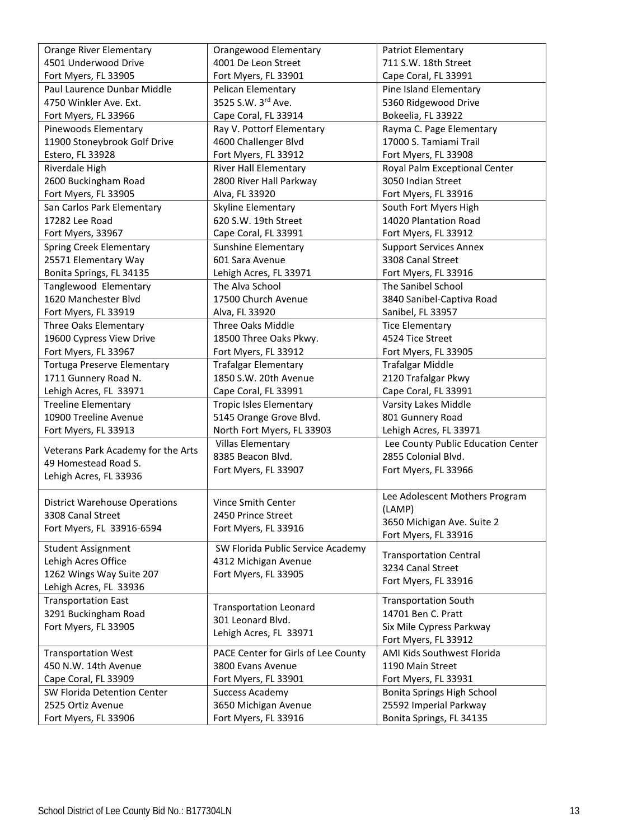| <b>Orange River Elementary</b>       | Orangewood Elementary                              | <b>Patriot Elementary</b>          |
|--------------------------------------|----------------------------------------------------|------------------------------------|
| 4501 Underwood Drive                 | 4001 De Leon Street                                | 711 S.W. 18th Street               |
| Fort Myers, FL 33905                 | Fort Myers, FL 33901                               | Cape Coral, FL 33991               |
| Paul Laurence Dunbar Middle          | Pelican Elementary                                 | Pine Island Elementary             |
| 4750 Winkler Ave. Ext.               | 3525 S.W. 3rd Ave.                                 | 5360 Ridgewood Drive               |
| Fort Myers, FL 33966                 | Cape Coral, FL 33914                               | Bokeelia, FL 33922                 |
| Pinewoods Elementary                 | Ray V. Pottorf Elementary                          | Rayma C. Page Elementary           |
| 11900 Stoneybrook Golf Drive         | 4600 Challenger Blvd                               | 17000 S. Tamiami Trail             |
| Estero, FL 33928                     | Fort Myers, FL 33912                               | Fort Myers, FL 33908               |
| Riverdale High                       | <b>River Hall Elementary</b>                       | Royal Palm Exceptional Center      |
| 2600 Buckingham Road                 | 2800 River Hall Parkway                            | 3050 Indian Street                 |
| Fort Myers, FL 33905                 | Alva, FL 33920                                     | Fort Myers, FL 33916               |
| San Carlos Park Elementary           | Skyline Elementary                                 | South Fort Myers High              |
| 17282 Lee Road                       | 620 S.W. 19th Street                               | 14020 Plantation Road              |
| Fort Myers, 33967                    | Cape Coral, FL 33991                               | Fort Myers, FL 33912               |
| <b>Spring Creek Elementary</b>       | Sunshine Elementary                                | <b>Support Services Annex</b>      |
| 25571 Elementary Way                 | 601 Sara Avenue                                    | 3308 Canal Street                  |
| Bonita Springs, FL 34135             | Lehigh Acres, FL 33971                             | Fort Myers, FL 33916               |
| Tanglewood Elementary                | The Alva School                                    | The Sanibel School                 |
| 1620 Manchester Blvd                 | 17500 Church Avenue                                | 3840 Sanibel-Captiva Road          |
| Fort Myers, FL 33919                 | Alva, FL 33920                                     | Sanibel, FL 33957                  |
| <b>Three Oaks Elementary</b>         | Three Oaks Middle                                  | <b>Tice Elementary</b>             |
| 19600 Cypress View Drive             | 18500 Three Oaks Pkwy.                             | 4524 Tice Street                   |
| Fort Myers, FL 33967                 | Fort Myers, FL 33912                               | Fort Myers, FL 33905               |
| <b>Tortuga Preserve Elementary</b>   | <b>Trafalgar Elementary</b>                        | <b>Trafalgar Middle</b>            |
| 1711 Gunnery Road N.                 | 1850 S.W. 20th Avenue                              | 2120 Trafalgar Pkwy                |
| Lehigh Acres, FL 33971               | Cape Coral, FL 33991                               | Cape Coral, FL 33991               |
| <b>Treeline Elementary</b>           | <b>Tropic Isles Elementary</b>                     | Varsity Lakes Middle               |
| 10900 Treeline Avenue                | 5145 Orange Grove Blvd.                            | 801 Gunnery Road                   |
| Fort Myers, FL 33913                 | North Fort Myers, FL 33903                         | Lehigh Acres, FL 33971             |
|                                      | <b>Villas Elementary</b>                           | Lee County Public Education Center |
| Veterans Park Academy for the Arts   | 8385 Beacon Blvd.                                  | 2855 Colonial Blvd.                |
| 49 Homestead Road S.                 | Fort Myers, FL 33907                               | Fort Myers, FL 33966               |
| Lehigh Acres, FL 33936               |                                                    |                                    |
|                                      |                                                    | Lee Adolescent Mothers Program     |
| <b>District Warehouse Operations</b> | Vince Smith Center                                 | (LAMP)                             |
| 3308 Canal Street                    | 2450 Prince Street                                 | 3650 Michigan Ave. Suite 2         |
| Fort Myers, FL 33916-6594            | Fort Myers, FL 33916                               | Fort Myers, FL 33916               |
| <b>Student Assignment</b>            | SW Florida Public Service Academy                  |                                    |
| Lehigh Acres Office                  | 4312 Michigan Avenue                               | <b>Transportation Central</b>      |
| 1262 Wings Way Suite 207             | Fort Myers, FL 33905                               | 3234 Canal Street                  |
| Lehigh Acres, FL 33936               |                                                    | Fort Myers, FL 33916               |
| <b>Transportation East</b>           |                                                    | <b>Transportation South</b>        |
| 3291 Buckingham Road                 | <b>Transportation Leonard</b><br>301 Leonard Blvd. | 14701 Ben C. Pratt                 |
| Fort Myers, FL 33905                 |                                                    | Six Mile Cypress Parkway           |
|                                      | Lehigh Acres, FL 33971                             | Fort Myers, FL 33912               |
| <b>Transportation West</b>           | PACE Center for Girls of Lee County                | AMI Kids Southwest Florida         |
| 450 N.W. 14th Avenue                 | 3800 Evans Avenue                                  | 1190 Main Street                   |
| Cape Coral, FL 33909                 | Fort Myers, FL 33901                               | Fort Myers, FL 33931               |
| SW Florida Detention Center          | <b>Success Academy</b>                             | Bonita Springs High School         |
| 2525 Ortiz Avenue                    | 3650 Michigan Avenue                               | 25592 Imperial Parkway             |
| Fort Myers, FL 33906                 | Fort Myers, FL 33916                               | Bonita Springs, FL 34135           |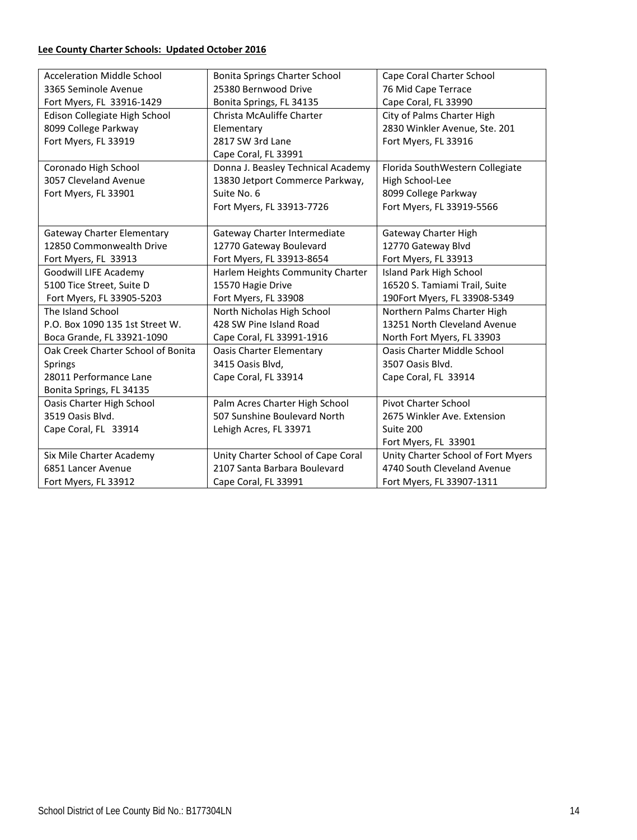## **Lee County Charter Schools: Updated October 2016**

| <b>Acceleration Middle School</b>  | <b>Bonita Springs Charter School</b> | Cape Coral Charter School          |
|------------------------------------|--------------------------------------|------------------------------------|
| 3365 Seminole Avenue               | 25380 Bernwood Drive                 | 76 Mid Cape Terrace                |
| Fort Myers, FL 33916-1429          | Bonita Springs, FL 34135             | Cape Coral, FL 33990               |
| Edison Collegiate High School      | Christa McAuliffe Charter            | City of Palms Charter High         |
| 8099 College Parkway               | Elementary                           | 2830 Winkler Avenue, Ste. 201      |
| Fort Myers, FL 33919               | 2817 SW 3rd Lane                     | Fort Myers, FL 33916               |
|                                    | Cape Coral, FL 33991                 |                                    |
| Coronado High School               | Donna J. Beasley Technical Academy   | Florida SouthWestern Collegiate    |
| 3057 Cleveland Avenue              | 13830 Jetport Commerce Parkway,      | High School-Lee                    |
| Fort Myers, FL 33901               | Suite No. 6                          | 8099 College Parkway               |
|                                    | Fort Myers, FL 33913-7726            | Fort Myers, FL 33919-5566          |
|                                    |                                      |                                    |
| <b>Gateway Charter Elementary</b>  | Gateway Charter Intermediate         | Gateway Charter High               |
| 12850 Commonwealth Drive           | 12770 Gateway Boulevard              | 12770 Gateway Blvd                 |
| Fort Myers, FL 33913               | Fort Myers, FL 33913-8654            | Fort Myers, FL 33913               |
| Goodwill LIFE Academy              | Harlem Heights Community Charter     | <b>Island Park High School</b>     |
| 5100 Tice Street, Suite D          | 15570 Hagie Drive                    | 16520 S. Tamiami Trail, Suite      |
| Fort Myers, FL 33905-5203          | Fort Myers, FL 33908                 | 190Fort Myers, FL 33908-5349       |
| The Island School                  | North Nicholas High School           | Northern Palms Charter High        |
| P.O. Box 1090 135 1st Street W.    | 428 SW Pine Island Road              | 13251 North Cleveland Avenue       |
| Boca Grande, FL 33921-1090         | Cape Coral, FL 33991-1916            | North Fort Myers, FL 33903         |
| Oak Creek Charter School of Bonita | <b>Oasis Charter Elementary</b>      | <b>Oasis Charter Middle School</b> |
| Springs                            | 3415 Oasis Blvd,                     | 3507 Oasis Blvd.                   |
| 28011 Performance Lane             | Cape Coral, FL 33914                 | Cape Coral, FL 33914               |
| Bonita Springs, FL 34135           |                                      |                                    |
| Oasis Charter High School          | Palm Acres Charter High School       | <b>Pivot Charter School</b>        |
| 3519 Oasis Blvd.                   | 507 Sunshine Boulevard North         | 2675 Winkler Ave. Extension        |
| Cape Coral, FL 33914               | Lehigh Acres, FL 33971               | Suite 200                          |
|                                    |                                      | Fort Myers, FL 33901               |
| Six Mile Charter Academy           | Unity Charter School of Cape Coral   | Unity Charter School of Fort Myers |
| 6851 Lancer Avenue                 | 2107 Santa Barbara Boulevard         | 4740 South Cleveland Avenue        |
| Fort Myers, FL 33912               | Cape Coral, FL 33991                 | Fort Myers, FL 33907-1311          |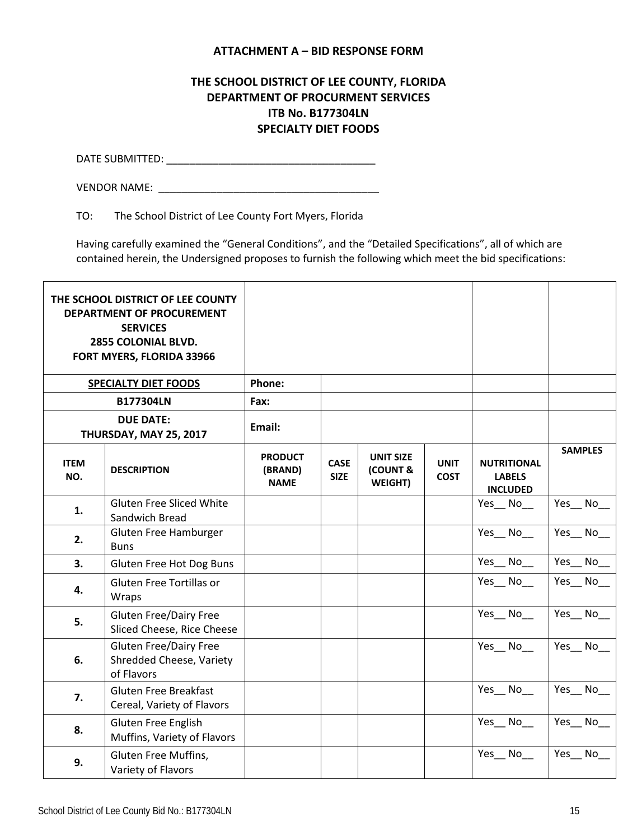### **ATTACHMENT A – BID RESPONSE FORM**

## **THE SCHOOL DISTRICT OF LEE COUNTY, FLORIDA DEPARTMENT OF PROCURMENT SERVICES ITB No. B177304LN SPECIALTY DIET FOODS**

DATE SUBMITTED: \_\_\_\_\_\_\_\_\_\_\_\_\_\_\_\_\_\_\_\_\_\_\_\_\_\_\_\_\_\_\_\_\_\_\_\_

VENDOR NAME:  $\blacksquare$ 

TO: The School District of Lee County Fort Myers, Florida

Having carefully examined the "General Conditions", and the "Detailed Specifications", all of which are contained herein, the Undersigned proposes to furnish the following which meet the bid specifications:

|                    | THE SCHOOL DISTRICT OF LEE COUNTY<br>DEPARTMENT OF PROCUREMENT<br><b>SERVICES</b><br>2855 COLONIAL BLVD.<br>FORT MYERS, FLORIDA 33966 |                                          |                            |                                         |                            |                                                        |                |
|--------------------|---------------------------------------------------------------------------------------------------------------------------------------|------------------------------------------|----------------------------|-----------------------------------------|----------------------------|--------------------------------------------------------|----------------|
|                    | <b>SPECIALTY DIET FOODS</b>                                                                                                           | Phone:                                   |                            |                                         |                            |                                                        |                |
|                    | <b>B177304LN</b>                                                                                                                      | Fax:                                     |                            |                                         |                            |                                                        |                |
|                    | <b>DUE DATE:</b><br>THURSDAY, MAY 25, 2017                                                                                            | Email:                                   |                            |                                         |                            |                                                        |                |
| <b>ITEM</b><br>NO. | <b>DESCRIPTION</b>                                                                                                                    | <b>PRODUCT</b><br>(BRAND)<br><b>NAME</b> | <b>CASE</b><br><b>SIZE</b> | <b>UNIT SIZE</b><br>(COUNT &<br>WEIGHT) | <b>UNIT</b><br><b>COST</b> | <b>NUTRITIONAL</b><br><b>LABELS</b><br><b>INCLUDED</b> | <b>SAMPLES</b> |
| 1.                 | <b>Gluten Free Sliced White</b><br>Sandwich Bread                                                                                     |                                          |                            |                                         |                            | Yes No                                                 | Yes No         |
| 2.                 | Gluten Free Hamburger<br><b>Buns</b>                                                                                                  |                                          |                            |                                         |                            | Yes No                                                 | Yes No         |
| 3.                 | Gluten Free Hot Dog Buns                                                                                                              |                                          |                            |                                         |                            | Yes_No_                                                | Yes_No_        |
| 4.                 | Gluten Free Tortillas or<br>Wraps                                                                                                     |                                          |                            |                                         |                            | Yes No                                                 | Yes_No_        |
| 5.                 | <b>Gluten Free/Dairy Free</b><br>Sliced Cheese, Rice Cheese                                                                           |                                          |                            |                                         |                            | Yes No                                                 | Yes No         |
| 6.                 | <b>Gluten Free/Dairy Free</b><br>Shredded Cheese, Variety<br>of Flavors                                                               |                                          |                            |                                         |                            | Yes_No_                                                | Yes No         |
| 7.                 | <b>Gluten Free Breakfast</b><br>Cereal, Variety of Flavors                                                                            |                                          |                            |                                         |                            | Yes_No_                                                | Yes No         |
| 8.                 | Gluten Free English<br>Muffins, Variety of Flavors                                                                                    |                                          |                            |                                         |                            | Yes_No_                                                | Yes_No_        |
| 9.                 | Gluten Free Muffins,<br>Variety of Flavors                                                                                            |                                          |                            |                                         |                            | Yes No                                                 | Yes No         |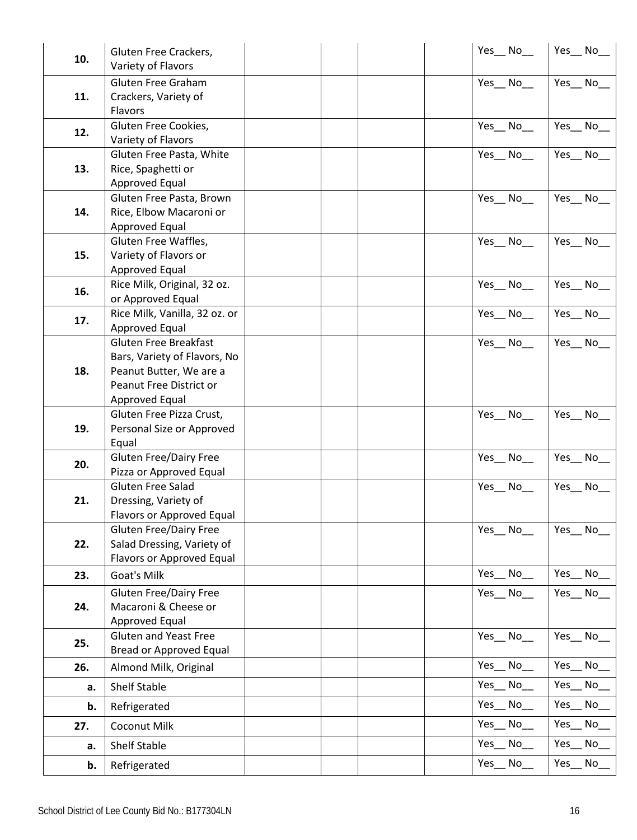|     | Gluten Free Crackers,                                 |  | Yes_No_ | Yes_No_    |
|-----|-------------------------------------------------------|--|---------|------------|
| 10. | Variety of Flavors                                    |  |         |            |
|     | Gluten Free Graham                                    |  | Yes No  | Yes No     |
| 11. | Crackers, Variety of                                  |  |         |            |
|     | Flavors                                               |  |         |            |
| 12. | Gluten Free Cookies,                                  |  | Yes No  | Yes No     |
|     | Variety of Flavors                                    |  |         |            |
|     | Gluten Free Pasta, White                              |  | Yes No  | Yes_No_    |
| 13. | Rice, Spaghetti or                                    |  |         |            |
|     | Approved Equal                                        |  |         |            |
|     | Gluten Free Pasta, Brown                              |  | Yes No  | Yes No     |
| 14. | Rice, Elbow Macaroni or                               |  |         |            |
|     | Approved Equal<br>Gluten Free Waffles,                |  | Yes No  | Yes No     |
| 15. | Variety of Flavors or                                 |  |         |            |
|     | Approved Equal                                        |  |         |            |
|     | Rice Milk, Original, 32 oz.                           |  | Yes No  | Yes No     |
| 16. | or Approved Equal                                     |  |         |            |
|     | Rice Milk, Vanilla, 32 oz. or                         |  | Yes No  | Yes No     |
| 17. | Approved Equal                                        |  |         |            |
|     | <b>Gluten Free Breakfast</b>                          |  | Yes No  | Yes No     |
|     | Bars, Variety of Flavors, No                          |  |         |            |
| 18. | Peanut Butter, We are a                               |  |         |            |
|     | Peanut Free District or                               |  |         |            |
|     | Approved Equal                                        |  |         |            |
| 19. | Gluten Free Pizza Crust,<br>Personal Size or Approved |  | Yes No  | Yes No     |
|     | Equal                                                 |  |         |            |
|     | <b>Gluten Free/Dairy Free</b>                         |  | Yes No  | Yes No     |
| 20. | Pizza or Approved Equal                               |  |         |            |
|     | Gluten Free Salad                                     |  | Yes_No_ | Yes_No_    |
| 21. | Dressing, Variety of                                  |  |         |            |
|     | Flavors or Approved Equal                             |  |         |            |
|     | <b>Gluten Free/Dairy Free</b>                         |  | Yes No  | Yes_No_    |
| 22. | Salad Dressing, Variety of                            |  |         |            |
|     | Flavors or Approved Equal                             |  |         |            |
| 23. | Goat's Milk                                           |  | Yes No  | Yes_<br>No |
|     | <b>Gluten Free/Dairy Free</b>                         |  | Yes_No_ | Yes_No_    |
| 24. | Macaroni & Cheese or                                  |  |         |            |
|     | <b>Approved Equal</b><br><b>Gluten and Yeast Free</b> |  |         | Yes No     |
| 25. | <b>Bread or Approved Equal</b>                        |  | Yes No  |            |
| 26. | Almond Milk, Original                                 |  | Yes_No_ | Yes No     |
|     |                                                       |  | Yes No  | Yes No     |
| a.  | Shelf Stable                                          |  | Yes_No_ | Yes No     |
| b.  | Refrigerated                                          |  | Yes No  | Yes No     |
| 27. | Coconut Milk                                          |  |         |            |
| a.  | Shelf Stable                                          |  | Yes_No_ | Yes No     |
| b.  | Refrigerated                                          |  | Yes No  | Yes<br>No  |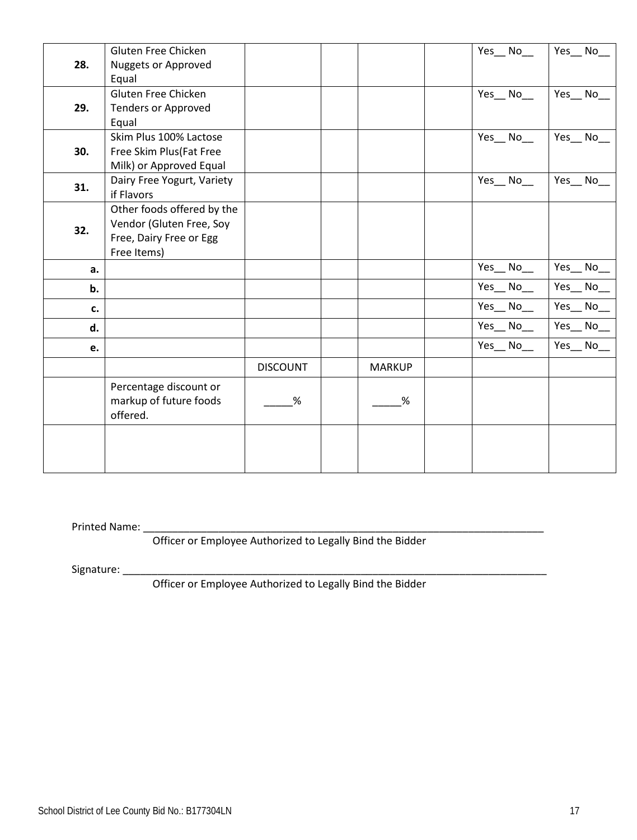| 28.<br>Nuggets or Approved<br>Equal                   |  |
|-------------------------------------------------------|--|
|                                                       |  |
|                                                       |  |
| Gluten Free Chicken<br>Yes_No_<br>Yes No              |  |
| 29.<br><b>Tenders or Approved</b>                     |  |
| Equal                                                 |  |
| Skim Plus 100% Lactose<br>Yes No<br>Yes_No            |  |
| 30.<br>Free Skim Plus (Fat Free                       |  |
| Milk) or Approved Equal                               |  |
| Dairy Free Yogurt, Variety<br>Yes No<br>Yes No<br>31. |  |
| if Flavors                                            |  |
| Other foods offered by the                            |  |
| Vendor (Gluten Free, Soy<br>32.                       |  |
| Free, Dairy Free or Egg                               |  |
| Free Items)                                           |  |
| Yes_No_<br>Yes_No_<br>a.                              |  |
| Yes_No_<br>Yes_No_<br>b.                              |  |
| Yes_No_<br>Yes_No<br>c.                               |  |
| Yes_No_<br>Yes_No_<br>d.                              |  |
| Yes_No<br>Yes_No_<br>e.                               |  |
| <b>DISCOUNT</b><br><b>MARKUP</b>                      |  |
| Percentage discount or                                |  |
| markup of future foods<br>$\%$<br>%                   |  |
| offered.                                              |  |
|                                                       |  |
|                                                       |  |
|                                                       |  |

Printed Name: \_\_\_\_\_\_\_\_\_\_\_\_\_\_\_\_\_\_\_\_\_\_\_\_\_\_\_\_\_\_\_\_\_\_\_\_\_\_\_\_\_\_\_\_\_\_\_\_\_\_\_\_\_\_\_\_\_\_\_\_\_\_\_\_\_\_\_\_\_

Officer or Employee Authorized to Legally Bind the Bidder

Signature: \_\_\_\_\_\_\_\_\_\_\_\_\_\_\_\_\_\_\_\_\_\_\_\_\_\_\_\_\_\_\_\_\_\_\_\_\_\_\_\_\_\_\_\_\_\_\_\_\_\_\_\_\_\_\_\_\_\_\_\_\_\_\_\_\_\_\_\_\_\_\_\_\_

Officer or Employee Authorized to Legally Bind the Bidder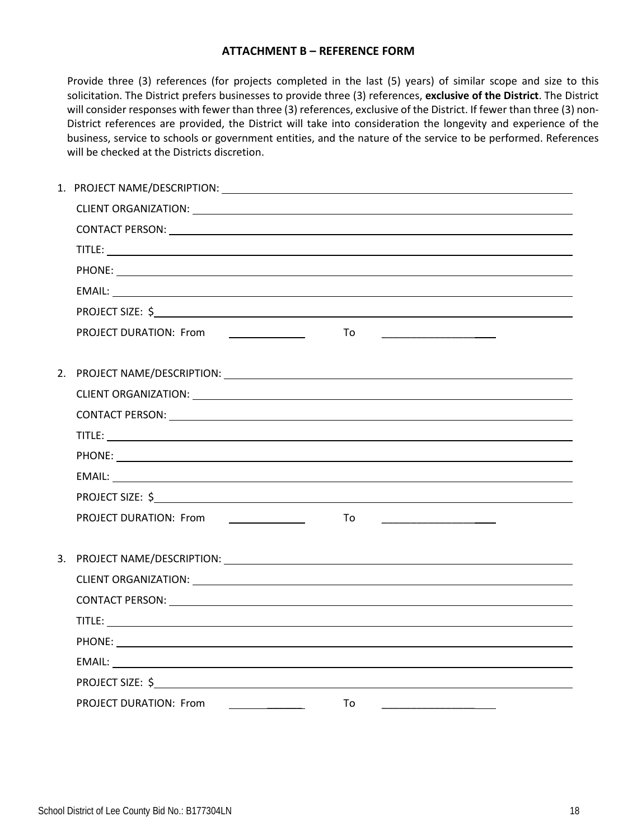#### **ATTACHMENT B – REFERENCE FORM**

Provide three (3) references (for projects completed in the last (5) years) of similar scope and size to this solicitation. The District prefers businesses to provide three (3) references, **exclusive of the District**. The District will consider responses with fewer than three (3) references, exclusive of the District. If fewer than three (3) non-District references are provided, the District will take into consideration the longevity and experience of the business, service to schools or government entities, and the nature of the service to be performed. References will be checked at the Districts discretion.

|                                                                            | <u> 1989 - Johann Barn, mars eta bainar eta politika</u> |  |
|----------------------------------------------------------------------------|----------------------------------------------------------|--|
|                                                                            |                                                          |  |
|                                                                            |                                                          |  |
|                                                                            |                                                          |  |
|                                                                            |                                                          |  |
|                                                                            |                                                          |  |
|                                                                            |                                                          |  |
|                                                                            |                                                          |  |
|                                                                            |                                                          |  |
|                                                                            |                                                          |  |
|                                                                            |                                                          |  |
|                                                                            |                                                          |  |
|                                                                            |                                                          |  |
|                                                                            |                                                          |  |
|                                                                            |                                                          |  |
|                                                                            |                                                          |  |
|                                                                            |                                                          |  |
|                                                                            |                                                          |  |
| <b>PROJECT DURATION: From</b><br>the company of the company of the company | To                                                       |  |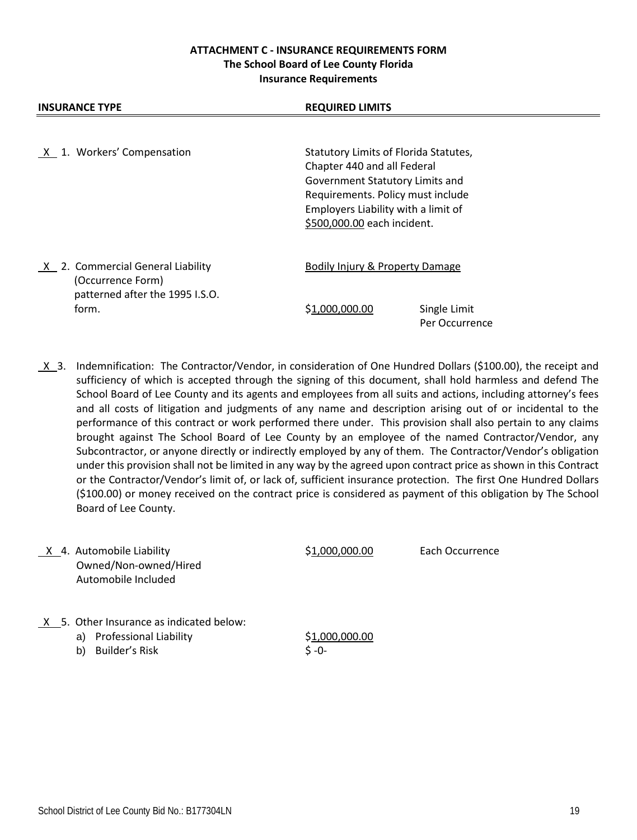### **ATTACHMENT C - INSURANCE REQUIREMENTS FORM The School Board of Lee County Florida Insurance Requirements**

| X 1. Workers' Compensation                                                                | Statutory Limits of Florida Statutes,<br>Chapter 440 and all Federal<br>Government Statutory Limits and<br>Requirements. Policy must include<br>Employers Liability with a limit of<br>\$500,000.00 each incident. |
|-------------------------------------------------------------------------------------------|--------------------------------------------------------------------------------------------------------------------------------------------------------------------------------------------------------------------|
| X 2. Commercial General Liability<br>(Occurrence Form)<br>patterned after the 1995 I.S.O. | Bodily Injury & Property Damage                                                                                                                                                                                    |
| form.                                                                                     | Single Limit<br>\$1.000.000.00<br>Per Occurrence                                                                                                                                                                   |

**INSURANCE TYPE REQUIRED LIMITS** 

 X 3. Indemnification: The Contractor/Vendor, in consideration of One Hundred Dollars (\$100.00), the receipt and sufficiency of which is accepted through the signing of this document, shall hold harmless and defend The School Board of Lee County and its agents and employees from all suits and actions, including attorney's fees and all costs of litigation and judgments of any name and description arising out of or incidental to the performance of this contract or work performed there under. This provision shall also pertain to any claims brought against The School Board of Lee County by an employee of the named Contractor/Vendor, any Subcontractor, or anyone directly or indirectly employed by any of them. The Contractor/Vendor's obligation under this provision shall not be limited in any way by the agreed upon contract price as shown in this Contract or the Contractor/Vendor's limit of, or lack of, sufficient insurance protection. The first One Hundred Dollars (\$100.00) or money received on the contract price is considered as payment of this obligation by The School Board of Lee County.

X 4. Automobile Liability  $$1,000,000.00$  Each Occurrence Owned/Non-owned/Hired Automobile Included

- $X$  5. Other Insurance as indicated below:
	- a) Professional Liability \$1,000,000.00
	- b) Builder's Risk  $\zeta$  -0-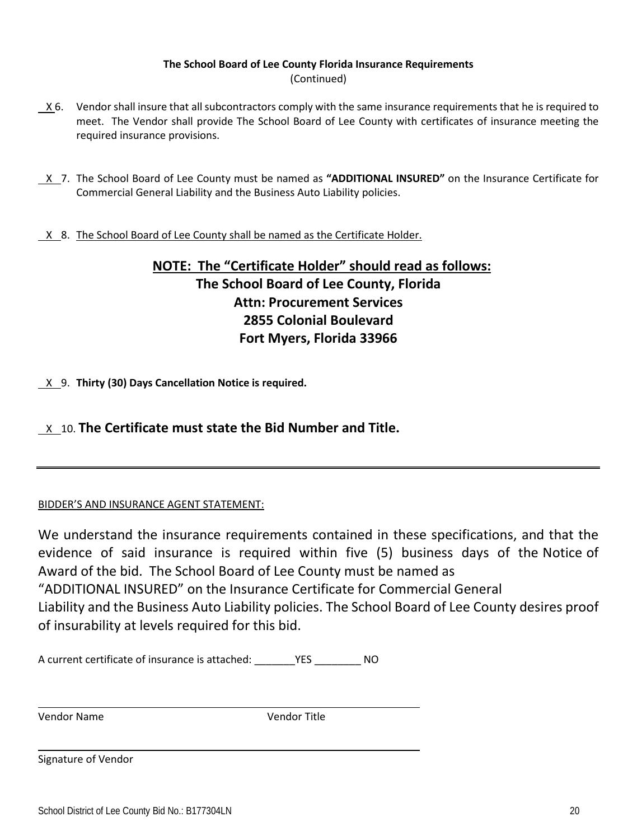### **The School Board of Lee County Florida Insurance Requirements** (Continued)

- X 6. Vendor shall insure that all subcontractors comply with the same insurance requirements that he is required to meet. The Vendor shall provide The School Board of Lee County with certificates of insurance meeting the required insurance provisions.
- X 7. The School Board of Lee County must be named as **"ADDITIONAL INSURED"** on the Insurance Certificate for Commercial General Liability and the Business Auto Liability policies.
- X 8. The School Board of Lee County shall be named as the Certificate Holder.

# **NOTE: The "Certificate Holder" should read as follows: The School Board of Lee County, Florida Attn: Procurement Services 2855 Colonial Boulevard Fort Myers, Florida 33966**

X 9. **Thirty (30) Days Cancellation Notice is required.**

# X 10. **The Certificate must state the Bid Number and Title.**

## BIDDER'S AND INSURANCE AGENT STATEMENT:

We understand the insurance requirements contained in these specifications, and that the evidence of said insurance is required within five (5) business days of the Notice of Award of the bid. The School Board of Lee County must be named as "ADDITIONAL INSURED" on the Insurance Certificate for Commercial General Liability and the Business Auto Liability policies. The School Board of Lee County desires proof of insurability at levels required for this bid.

A current certificate of insurance is attached: \_\_\_\_\_\_\_YES \_\_\_\_\_\_\_\_ NO

Vendor Name Vendor Title

Signature of Vendor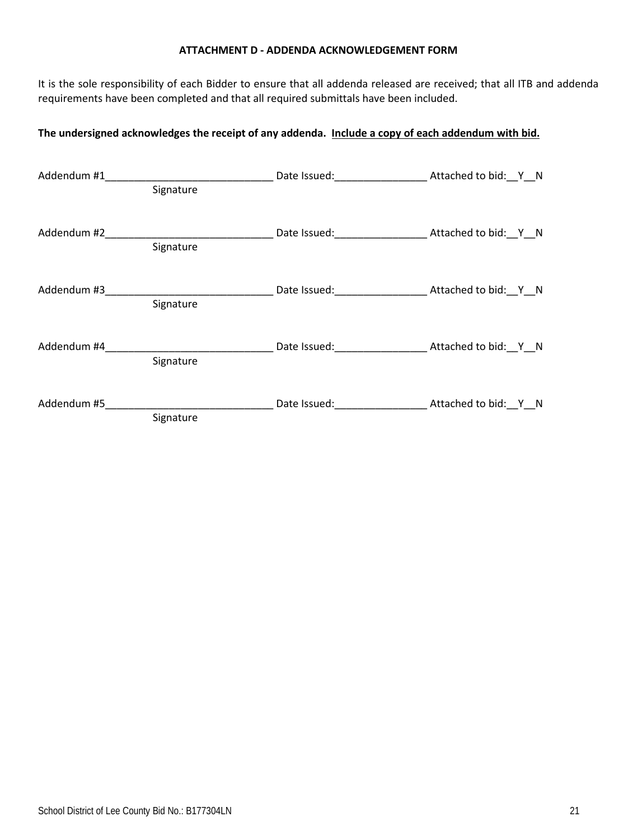#### **ATTACHMENT D - ADDENDA ACKNOWLEDGEMENT FORM**

It is the sole responsibility of each Bidder to ensure that all addenda released are received; that all ITB and addenda requirements have been completed and that all required submittals have been included.

## **The undersigned acknowledges the receipt of any addenda. Include a copy of each addendum with bid.**

| Addendum #1 |           | Date Issued: Natural Attached to bid: Y_N                                                                      |                      |
|-------------|-----------|----------------------------------------------------------------------------------------------------------------|----------------------|
|             | Signature |                                                                                                                |                      |
|             | Signature |                                                                                                                |                      |
|             | Signature |                                                                                                                |                      |
| Addendum #4 | Signature | Date Issued: Natural Attached to bid: Y_N                                                                      |                      |
| Addendum #5 | Signature | Date Issued: Note that the same of the same of the same of the same of the same of the same of the same of the | Attached to bid: Y N |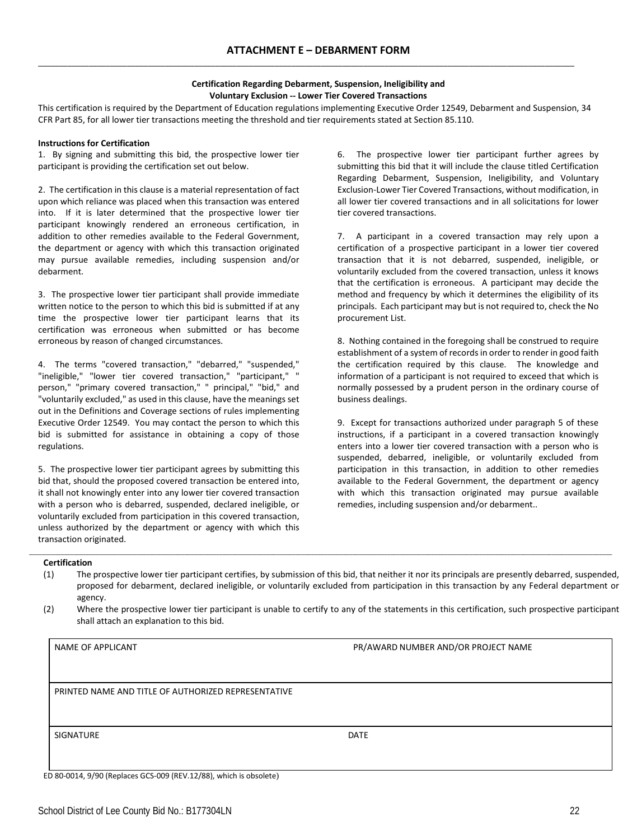\_\_\_\_\_\_\_\_\_\_\_\_\_\_\_\_\_\_\_\_\_\_\_\_\_\_\_\_\_\_\_\_\_\_\_\_\_\_\_\_\_\_\_\_\_\_\_\_\_\_\_\_\_\_\_\_\_\_\_\_\_\_\_\_\_\_\_\_\_\_\_\_\_\_\_\_\_\_\_\_\_\_\_\_\_\_\_\_\_\_\_\_\_\_\_\_\_\_\_\_\_\_\_\_\_\_\_\_\_\_\_\_\_\_\_\_\_\_\_\_\_\_\_\_\_\_\_

#### **Certification Regarding Debarment, Suspension, Ineligibility and Voluntary Exclusion -- Lower Tier Covered Transactions**

This certification is required by the Department of Education regulations implementing Executive Order 12549, Debarment and Suspension, 34 CFR Part 85, for all lower tier transactions meeting the threshold and tier requirements stated at Section 85.110.

#### **Instructions for Certification**

1. By signing and submitting this bid, the prospective lower tier participant is providing the certification set out below.

2. The certification in this clause is a material representation of fact upon which reliance was placed when this transaction was entered into. If it is later determined that the prospective lower tier participant knowingly rendered an erroneous certification, in addition to other remedies available to the Federal Government, the department or agency with which this transaction originated may pursue available remedies, including suspension and/or debarment.

3. The prospective lower tier participant shall provide immediate written notice to the person to which this bid is submitted if at any time the prospective lower tier participant learns that its certification was erroneous when submitted or has become erroneous by reason of changed circumstances.

4. The terms "covered transaction," "debarred," "suspended," "ineligible," "lower tier covered transaction," "participant," " person," "primary covered transaction," " principal," "bid," and "voluntarily excluded," as used in this clause, have the meanings set out in the Definitions and Coverage sections of rules implementing Executive Order 12549. You may contact the person to which this bid is submitted for assistance in obtaining a copy of those regulations.

5. The prospective lower tier participant agrees by submitting this bid that, should the proposed covered transaction be entered into, it shall not knowingly enter into any lower tier covered transaction with a person who is debarred, suspended, declared ineligible, or voluntarily excluded from participation in this covered transaction, unless authorized by the department or agency with which this transaction originated.

6. The prospective lower tier participant further agrees by submitting this bid that it will include the clause titled Certification Regarding Debarment, Suspension, Ineligibility, and Voluntary Exclusion-Lower Tier Covered Transactions, without modification, in all lower tier covered transactions and in all solicitations for lower tier covered transactions.

7. A participant in a covered transaction may rely upon a certification of a prospective participant in a lower tier covered transaction that it is not debarred, suspended, ineligible, or voluntarily excluded from the covered transaction, unless it knows that the certification is erroneous. A participant may decide the method and frequency by which it determines the eligibility of its principals. Each participant may but is not required to, check the No procurement List.

8. Nothing contained in the foregoing shall be construed to require establishment of a system of records in order to render in good faith the certification required by this clause. The knowledge and information of a participant is not required to exceed that which is normally possessed by a prudent person in the ordinary course of business dealings.

9. Except for transactions authorized under paragraph 5 of these instructions, if a participant in a covered transaction knowingly enters into a lower tier covered transaction with a person who is suspended, debarred, ineligible, or voluntarily excluded from participation in this transaction, in addition to other remedies available to the Federal Government, the department or agency with which this transaction originated may pursue available remedies, including suspension and/or debarment..

#### **Certification**

Lertincation<br>(1) The prospective lower tier participant certifies, by submission of this bid, that neither it nor its principals are presently debarred, suspended, proposed for debarment, declared ineligible, or voluntarily excluded from participation in this transaction by any Federal department or agency.

\_\_\_\_\_\_\_\_\_\_\_\_\_\_\_\_\_\_\_\_\_\_\_\_\_\_\_\_\_\_\_\_\_\_\_\_\_\_\_\_\_\_\_\_\_\_\_\_\_\_\_\_\_\_\_\_\_\_\_\_\_\_\_\_\_\_\_\_\_\_\_\_\_\_\_\_\_\_\_\_\_\_\_\_\_\_\_\_\_\_\_\_\_\_\_\_\_\_\_\_\_\_\_\_\_\_\_\_\_\_\_\_\_\_\_\_\_\_\_\_\_\_\_\_\_\_\_\_\_\_\_\_\_\_\_\_\_\_\_\_\_\_\_\_\_\_\_\_\_\_\_\_\_\_\_\_\_\_\_\_\_\_\_\_\_\_\_\_\_\_\_\_\_\_\_\_\_\_\_\_\_\_\_\_

(2) Where the prospective lower tier participant is unable to certify to any of the statements in this certification, such prospective participant shall attach an explanation to this bid.

| NAME OF APPLICANT                                   | PR/AWARD NUMBER AND/OR PROJECT NAME |
|-----------------------------------------------------|-------------------------------------|
|                                                     |                                     |
| PRINTED NAME AND TITLE OF AUTHORIZED REPRESENTATIVE |                                     |
|                                                     |                                     |
| SIGNATURE                                           | DATE                                |
|                                                     |                                     |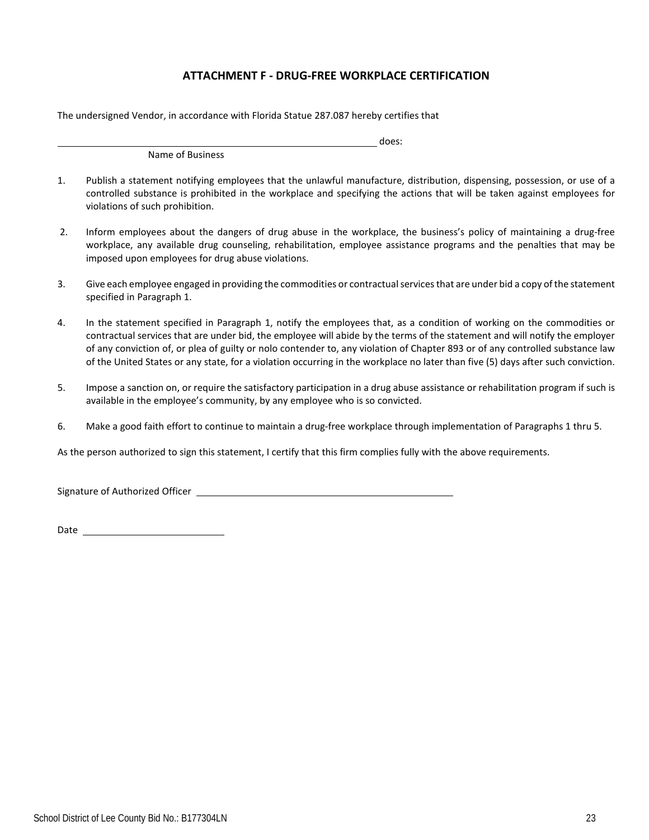## **ATTACHMENT F - DRUG-FREE WORKPLACE CERTIFICATION**

The undersigned Vendor, in accordance with Florida Statue 287.087 hereby certifies that

Name of Business

1. Publish a statement notifying employees that the unlawful manufacture, distribution, dispensing, possession, or use of a controlled substance is prohibited in the workplace and specifying the actions that will be taken against employees for violations of such prohibition.

does:

- 2. Inform employees about the dangers of drug abuse in the workplace, the business's policy of maintaining a drug-free workplace, any available drug counseling, rehabilitation, employee assistance programs and the penalties that may be imposed upon employees for drug abuse violations.
- 3. Give each employee engaged in providing the commodities or contractual services that are under bid a copy of the statement specified in Paragraph 1.
- 4. In the statement specified in Paragraph 1, notify the employees that, as a condition of working on the commodities or contractual services that are under bid, the employee will abide by the terms of the statement and will notify the employer of any conviction of, or plea of guilty or nolo contender to, any violation of Chapter 893 or of any controlled substance law of the United States or any state, for a violation occurring in the workplace no later than five (5) days after such conviction.
- 5. Impose a sanction on, or require the satisfactory participation in a drug abuse assistance or rehabilitation program if such is available in the employee's community, by any employee who is so convicted.
- 6. Make a good faith effort to continue to maintain a drug-free workplace through implementation of Paragraphs 1 thru 5.

As the person authorized to sign this statement, I certify that this firm complies fully with the above requirements.

Signature of Authorized Officer

Date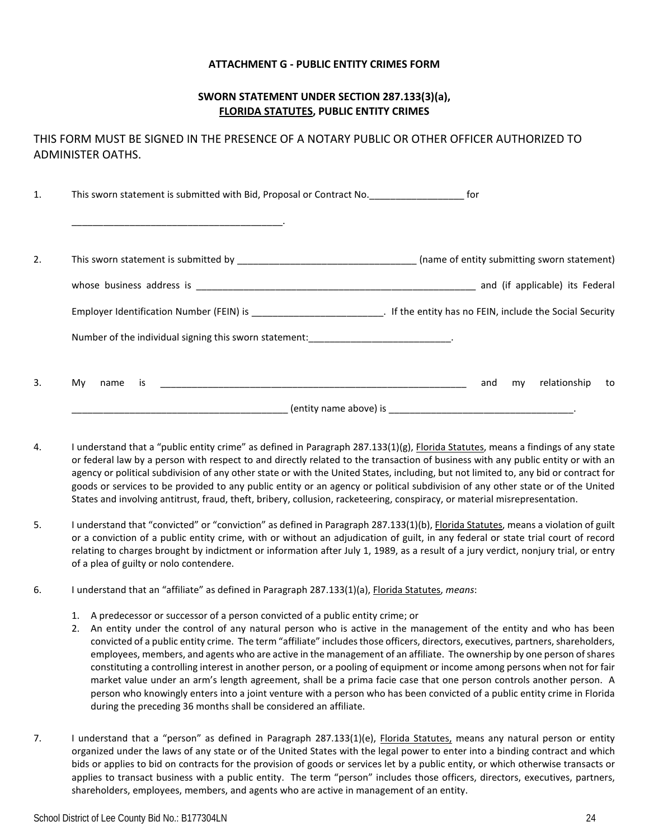### **ATTACHMENT G - PUBLIC ENTITY CRIMES FORM**

### **SWORN STATEMENT UNDER SECTION 287.133(3)(a), FLORIDA STATUTES, PUBLIC ENTITY CRIMES**

THIS FORM MUST BE SIGNED IN THE PRESENCE OF A NOTARY PUBLIC OR OTHER OFFICER AUTHORIZED TO ADMINISTER OATHS.

1. This sworn statement is submitted with Bid, Proposal or Contract No.  $\qquad \qquad$  for \_\_\_\_\_\_\_\_\_\_\_\_\_\_\_\_\_\_\_\_\_\_\_\_\_\_\_\_\_\_\_\_\_\_\_\_\_\_\_\_. 2. This sworn statement is submitted by \_\_\_\_\_\_\_\_\_\_\_\_\_\_\_\_\_\_\_\_\_\_\_\_\_\_\_\_\_\_\_\_\_\_ (name of entity submitting sworn statement) whose business address is \_\_\_\_\_\_\_\_\_\_\_\_\_\_\_\_\_\_\_\_\_\_\_\_\_\_\_\_\_\_\_\_\_\_\_\_\_\_\_\_\_\_\_\_\_\_\_\_\_\_\_\_\_ and (if applicable) its Federal Employer Identification Number (FEIN) is \_\_\_\_\_\_\_\_\_\_\_\_\_\_\_\_\_\_\_\_\_\_\_\_\_. If the entity has no FEIN, include the Social Security Number of the individual signing this sworn statement: \_\_\_\_\_\_\_\_\_\_\_\_\_\_\_\_\_\_\_\_\_\_\_\_\_\_ 3. My name is the state of the state of the state of the state of the state of the state of the state of the state of the state of the state of the state of the state of the state of the state of the state of the state of \_\_\_\_\_\_\_\_\_\_\_\_\_\_\_\_\_\_\_\_\_\_\_\_\_\_\_\_\_\_\_\_\_\_\_\_\_\_\_\_\_ (entity name above) is \_\_\_\_\_\_\_\_\_\_\_\_\_\_\_\_\_\_\_\_\_\_\_\_\_\_\_\_\_\_\_\_\_\_\_.

- 4. I understand that a "public entity crime" as defined in Paragraph 287.133(1)(g), Florida Statutes, means a findings of any state or federal law by a person with respect to and directly related to the transaction of business with any public entity or with an agency or political subdivision of any other state or with the United States, including, but not limited to, any bid or contract for goods or services to be provided to any public entity or an agency or political subdivision of any other state or of the United States and involving antitrust, fraud, theft, bribery, collusion, racketeering, conspiracy, or material misrepresentation.
- 5. I understand that "convicted" or "conviction" as defined in Paragraph 287.133(1)(b), Florida Statutes, means a violation of guilt or a conviction of a public entity crime, with or without an adjudication of guilt, in any federal or state trial court of record relating to charges brought by indictment or information after July 1, 1989, as a result of a jury verdict, nonjury trial, or entry of a plea of guilty or nolo contendere.
- 6. I understand that an "affiliate" as defined in Paragraph 287.133(1)(a), Florida Statutes, *means*:
	- 1. A predecessor or successor of a person convicted of a public entity crime; or
	- 2. An entity under the control of any natural person who is active in the management of the entity and who has been convicted of a public entity crime. The term "affiliate" includes those officers, directors, executives, partners, shareholders, employees, members, and agents who are active in the management of an affiliate. The ownership by one person of shares constituting a controlling interest in another person, or a pooling of equipment or income among persons when not for fair market value under an arm's length agreement, shall be a prima facie case that one person controls another person. A person who knowingly enters into a joint venture with a person who has been convicted of a public entity crime in Florida during the preceding 36 months shall be considered an affiliate.
- 7. I understand that a "person" as defined in Paragraph 287.133(1)(e), Florida Statutes, means any natural person or entity organized under the laws of any state or of the United States with the legal power to enter into a binding contract and which bids or applies to bid on contracts for the provision of goods or services let by a public entity, or which otherwise transacts or applies to transact business with a public entity. The term "person" includes those officers, directors, executives, partners, shareholders, employees, members, and agents who are active in management of an entity.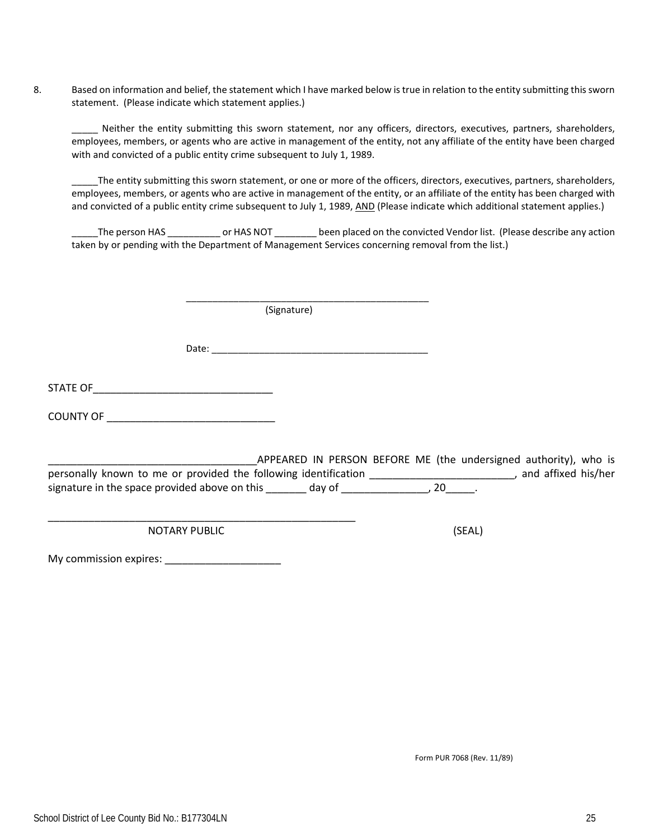8. Based on information and belief, the statement which I have marked below is true in relation to the entity submitting this sworn statement. (Please indicate which statement applies.)

Neither the entity submitting this sworn statement, nor any officers, directors, executives, partners, shareholders, employees, members, or agents who are active in management of the entity, not any affiliate of the entity have been charged with and convicted of a public entity crime subsequent to July 1, 1989.

\_\_\_\_\_The entity submitting this sworn statement, or one or more of the officers, directors, executives, partners, shareholders, employees, members, or agents who are active in management of the entity, or an affiliate of the entity has been charged with and convicted of a public entity crime subsequent to July 1, 1989, AND (Please indicate which additional statement applies.)

The person HAS \_\_\_\_\_\_\_\_\_\_\_ or HAS NOT \_\_\_\_\_\_\_\_ been placed on the convicted Vendor list. (Please describe any action taken by or pending with the Department of Management Services concerning removal from the list.)

(Signature)

Date: \_\_\_\_\_\_\_\_\_\_\_\_\_\_\_\_\_\_\_\_\_\_\_\_\_\_\_\_\_\_\_\_\_\_\_\_\_\_\_\_\_

\_\_\_\_\_\_\_\_\_\_\_\_\_\_\_\_\_\_\_\_\_\_\_\_\_\_\_\_\_\_\_\_\_\_\_\_\_\_\_\_\_\_\_\_\_\_

STATE OF\_\_\_\_\_\_\_\_\_\_\_\_\_\_\_\_\_\_\_\_\_\_\_\_\_\_\_\_\_\_\_

COUNTY OF \_\_\_\_\_\_\_\_\_\_\_\_\_\_\_\_\_\_\_\_\_\_\_\_\_\_\_\_\_

APPEARED IN PERSON BEFORE ME (the undersigned authority), who is personally known to me or provided the following identification \_\_\_\_\_\_\_\_\_\_\_\_\_\_\_\_\_\_\_\_\_\_\_\_\_, and affixed his/her signature in the space provided above on this \_\_\_\_\_\_\_\_ day of \_\_\_\_\_\_\_\_\_\_\_\_\_\_\_\_, 20\_\_\_\_\_.

NOTARY PUBLIC (SEAL)

\_\_\_\_\_\_\_\_\_\_\_\_\_\_\_\_\_\_\_\_\_\_\_\_\_\_\_\_\_\_\_\_\_\_\_\_\_\_\_\_\_\_\_\_\_\_\_\_\_\_\_\_\_

My commission expires: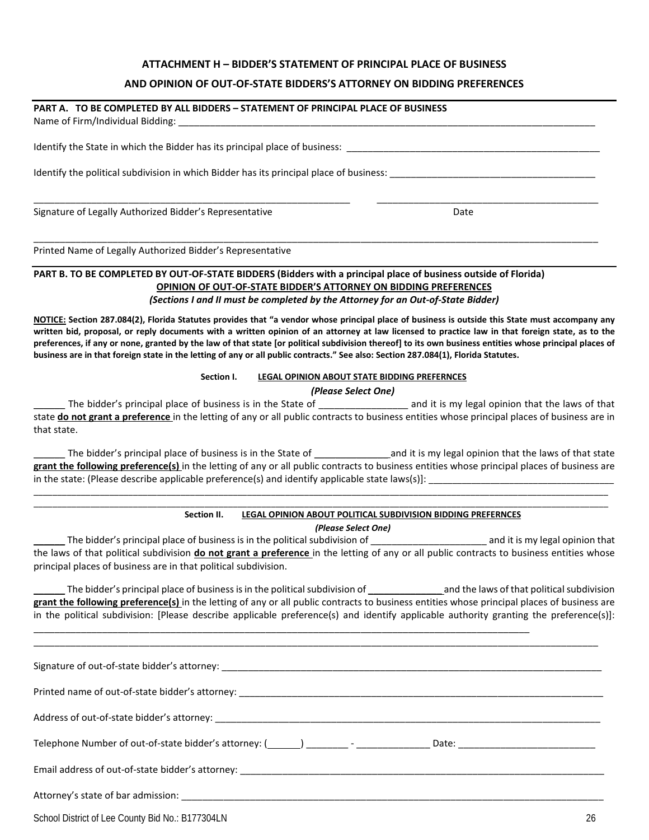### **ATTACHMENT H – BIDDER'S STATEMENT OF PRINCIPAL PLACE OF BUSINESS**

#### **AND OPINION OF OUT-OF-STATE BIDDERS'S ATTORNEY ON BIDDING PREFERENCES**

#### **PART A. TO BE COMPLETED BY ALL BIDDERS – STATEMENT OF PRINCIPAL PLACE OF BUSINESS**

| Name of Firm/Individual Bidding:                                                        |      |  |
|-----------------------------------------------------------------------------------------|------|--|
| Identify the State in which the Bidder has its principal place of business:             |      |  |
| Identify the political subdivision in which Bidder has its principal place of business: |      |  |
| Signature of Legally Authorized Bidder's Representative                                 | Date |  |

\_\_\_\_\_\_\_\_\_\_\_\_\_\_\_\_\_\_\_\_\_\_\_\_\_\_\_\_\_\_\_\_\_\_\_\_\_\_\_\_\_\_\_\_\_\_\_\_\_\_\_\_\_\_\_\_\_\_\_\_\_\_\_\_\_\_\_\_\_\_\_\_\_\_\_\_\_\_\_\_\_\_\_\_\_\_\_\_\_\_\_\_\_\_\_\_\_\_\_\_\_\_\_\_\_\_\_

Printed Name of Legally Authorized Bidder's Representative

#### **PART B. TO BE COMPLETED BY OUT-OF-STATE BIDDERS (Bidders with a principal place of business outside of Florida) OPINION OF OUT-OF-STATE BIDDER'S ATTORNEY ON BIDDING PREFERENCES** *(Sections I and II must be completed by the Attorney for an Out-of-State Bidder)*

**NOTICE: Section 287.084(2), Florida Statutes provides that "a vendor whose principal place of business is outside this State must accompany any written bid, proposal, or reply documents with a written opinion of an attorney at law licensed to practice law in that foreign state, as to the preferences, if any or none, granted by the law of that state [or political subdivision thereof] to its own business entities whose principal places of business are in that foreign state in the letting of any or all public contracts." See also: Section 287.084(1), Florida Statutes.** 

#### **Section I. LEGAL OPINION ABOUT STATE BIDDING PREFERNCES**

#### *(Please Select One)*

The bidder's principal place of business is in the State of \_\_\_\_\_\_\_\_\_\_\_\_\_\_\_\_\_\_\_\_ and it is my legal opinion that the laws of that state **do not grant a preference** in the letting of any or all public contracts to business entities whose principal places of business are in that state.

The bidder's principal place of business is in the State of \_\_\_\_\_\_\_\_\_\_\_\_\_\_\_\_\_\_\_and it is my legal opinion that the laws of that state **grant the following preference(s)** in the letting of any or all public contracts to business entities whose principal places of business are in the state: (Please describe applicable preference(s) and identify applicable state laws(s)]:

\_\_\_\_\_\_\_\_\_\_\_\_\_\_\_\_\_\_\_\_\_\_\_\_\_\_\_\_\_\_\_\_\_\_\_\_\_\_\_\_\_\_\_\_\_\_\_\_\_\_\_\_\_\_\_\_\_\_\_\_\_\_\_\_\_\_\_\_\_\_\_\_\_\_\_\_\_\_\_\_\_\_\_\_\_\_\_\_\_\_\_\_\_\_\_\_\_\_\_\_\_\_\_\_\_\_\_\_\_\_\_\_\_\_\_\_\_\_\_\_\_ \_\_\_\_\_\_\_\_\_\_\_\_\_\_\_\_\_\_\_\_\_\_\_\_\_\_\_\_\_\_\_\_\_\_\_\_\_\_\_\_\_\_\_\_\_\_\_\_\_\_\_\_\_\_\_\_\_\_\_\_\_\_\_\_\_\_\_\_\_\_\_\_\_\_\_\_\_\_\_\_\_\_\_\_\_\_\_\_\_\_\_\_\_\_\_\_\_\_\_\_\_\_\_\_\_\_\_\_\_\_\_\_\_\_\_\_\_\_\_\_\_

#### **Section II. LEGAL OPINION ABOUT POLITICAL SUBDIVISION BIDDING PREFERNCES**

*(Please Select One)*

The bidder's principal place of business is in the political subdivision of \_\_\_\_\_\_\_\_\_\_\_\_\_\_\_\_\_\_\_\_\_\_\_\_\_\_\_\_\_\_\_\_ and it is my legal opinion that the laws of that political subdivision **do not grant a preference** in the letting of any or all public contracts to business entities whose principal places of business are in that political subdivision.

The bidder's principal place of business is in the political subdivision of \_\_\_\_\_\_\_\_\_\_\_\_\_\_\_\_\_\_\_\_\_\_\_ and the laws of that political subdivision **grant the following preference(s)** in the letting of any or all public contracts to business entities whose principal places of business are in the political subdivision: [Please describe applicable preference(s) and identify applicable authority granting the preference(s)]:

\_\_\_\_\_\_\_\_\_\_\_\_\_\_\_\_\_\_\_\_\_\_\_\_\_\_\_\_\_\_\_\_\_\_\_\_\_\_\_\_\_\_\_\_\_\_\_\_\_\_\_\_\_\_\_\_\_\_\_\_\_\_\_\_\_\_\_\_\_\_\_\_\_\_\_\_\_\_\_\_\_\_\_\_\_\_\_\_\_\_\_\_\_\_\_\_\_\_\_\_\_\_\_\_\_\_\_

\_\_\_\_\_\_\_\_\_\_\_\_\_\_\_\_\_\_\_\_\_\_\_\_\_\_\_\_\_\_\_\_\_\_\_\_\_\_\_\_\_\_\_\_\_\_\_\_\_\_\_\_\_\_\_\_\_\_\_\_\_\_\_\_\_\_\_\_\_\_\_\_\_\_\_\_\_\_\_\_\_\_\_\_\_\_\_\_\_\_\_\_\_\_

Signature of out-of-state bidder's attorney:  $\Box$ Printed name of out-of-state bidder's attorney: \_\_\_\_\_\_\_\_\_\_\_\_\_\_\_\_\_\_\_\_\_\_\_\_\_\_\_\_\_\_\_\_\_\_\_\_\_\_\_\_\_\_\_\_\_\_\_\_\_\_\_\_\_\_\_\_\_\_\_\_\_\_\_\_\_\_\_\_\_ Address of out-of-state bidder's attorney: \_\_\_\_\_\_\_\_\_\_\_\_\_\_\_\_\_\_\_\_\_\_\_\_\_\_\_\_\_\_\_\_\_\_\_\_\_\_\_\_\_\_\_\_\_\_\_\_\_\_\_\_\_\_\_\_\_\_\_\_\_\_\_\_\_\_\_\_\_\_\_\_\_ Telephone Number of out-of-state bidder's attorney: ( ) \_\_\_\_\_\_\_\_ - \_\_\_\_\_\_\_\_\_\_\_\_\_\_ Date: \_\_\_\_\_\_\_\_\_\_\_\_\_\_\_\_\_\_\_\_\_\_\_\_\_\_ Email address of out-of-state bidder's attorney: \_\_\_\_\_\_\_\_\_\_\_\_\_\_\_\_\_\_\_\_\_\_\_\_\_\_\_\_\_\_\_\_\_\_\_\_\_\_\_\_\_\_\_\_\_\_\_\_\_\_\_\_\_\_\_\_\_\_\_\_\_\_\_\_\_\_\_\_\_ Attorney's state of bar admission:

School District of Lee County Bid No.: B177304LN 26